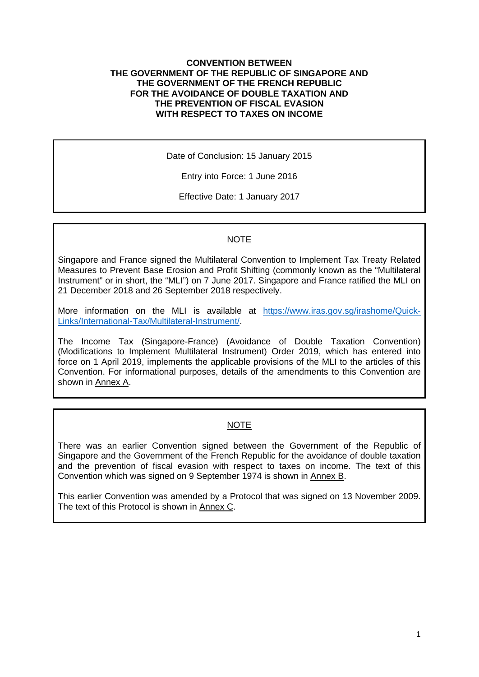#### **CONVENTION BETWEEN THE GOVERNMENT OF THE REPUBLIC OF SINGAPORE AND THE GOVERNMENT OF THE FRENCH REPUBLIC FOR THE AVOIDANCE OF DOUBLE TAXATION AND THE PREVENTION OF FISCAL EVASION WITH RESPECT TO TAXES ON INCOME**

Date of Conclusion: 15 January 2015

Entry into Force: 1 June 2016

Effective Date: 1 January 2017

# NOTE

Singapore and France signed the Multilateral Convention to Implement Tax Treaty Related Measures to Prevent Base Erosion and Profit Shifting (commonly known as the "Multilateral Instrument" or in short, the "MLI") on 7 June 2017. Singapore and France ratified the MLI on 21 December 2018 and 26 September 2018 respectively.

More information on the MLI is available at [https://www.iras.gov.sg/irashome/Quick-](https://www.iras.gov.sg/irashome/Quick-Links/International-Tax/Multilateral-Instrument/)[Links/International-Tax/Multilateral-Instrument/.](https://www.iras.gov.sg/irashome/Quick-Links/International-Tax/Multilateral-Instrument/)

The Income Tax (Singapore-France) (Avoidance of Double Taxation Convention) (Modifications to Implement Multilateral Instrument) Order 2019, which has entered into force on 1 April 2019, implements the applicable provisions of the MLI to the articles of this Convention. For informational purposes, details of the amendments to this Convention are shown in Annex A.

# NOTE

There was an earlier Convention signed between the Government of the Republic of Singapore and the Government of the French Republic for the avoidance of double taxation and the prevention of fiscal evasion with respect to taxes on income. The text of this Convention which was signed on 9 September 1974 is shown in Annex B.

This earlier Convention was amended by a Protocol that was signed on 13 November 2009. The text of this Protocol is shown in Annex C.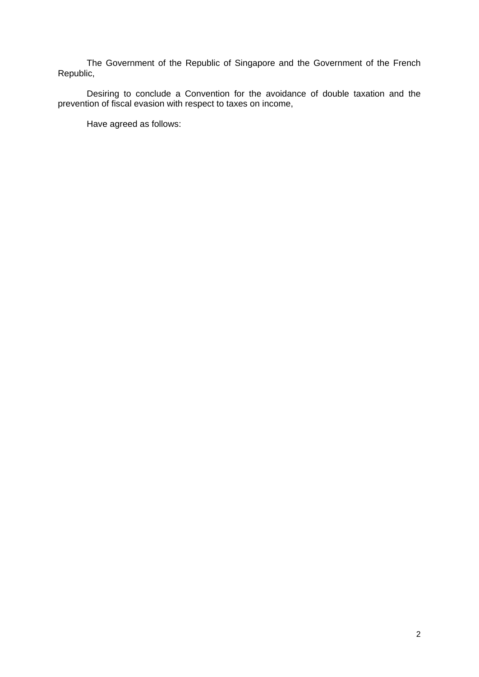The Government of the Republic of Singapore and the Government of the French Republic,

Desiring to conclude a Convention for the avoidance of double taxation and the prevention of fiscal evasion with respect to taxes on income,

Have agreed as follows: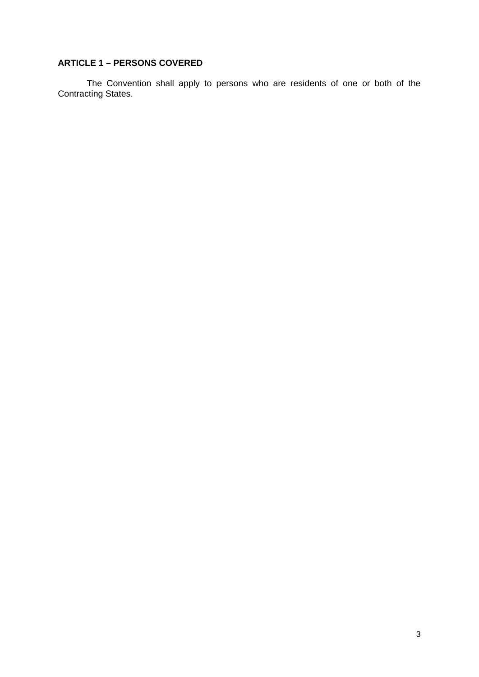# **ARTICLE 1 – PERSONS COVERED**

The Convention shall apply to persons who are residents of one or both of the Contracting States.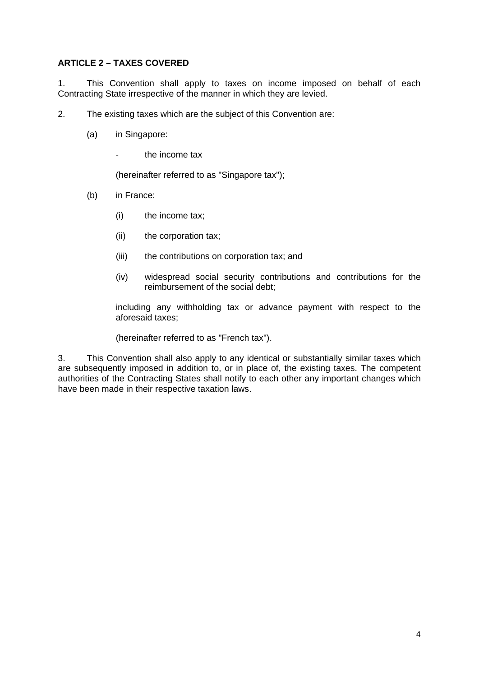#### **ARTICLE 2 – TAXES COVERED**

1. This Convention shall apply to taxes on income imposed on behalf of each Contracting State irrespective of the manner in which they are levied.

2. The existing taxes which are the subject of this Convention are:

- (a) in Singapore:
	- the income tax

(hereinafter referred to as "Singapore tax");

- (b) in France:
	- (i) the income tax;
	- (ii) the corporation tax;
	- (iii) the contributions on corporation tax; and
	- (iv) widespread social security contributions and contributions for the reimbursement of the social debt;

including any withholding tax or advance payment with respect to the aforesaid taxes;

(hereinafter referred to as "French tax").

3. This Convention shall also apply to any identical or substantially similar taxes which are subsequently imposed in addition to, or in place of, the existing taxes. The competent authorities of the Contracting States shall notify to each other any important changes which have been made in their respective taxation laws.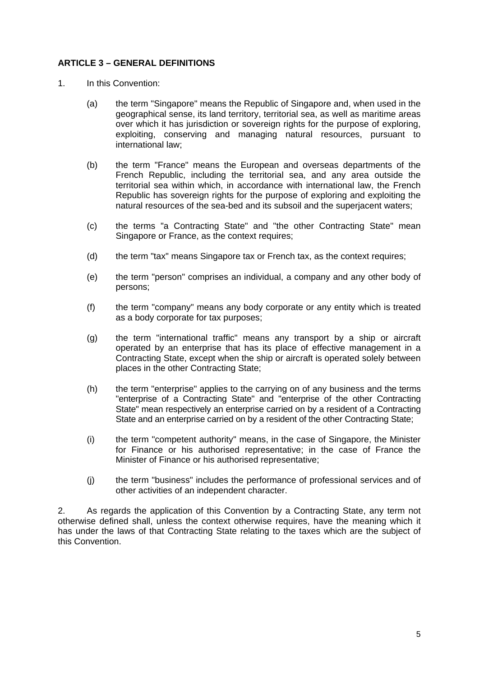# **ARTICLE 3 – GENERAL DEFINITIONS**

- 1. In this Convention:
	- (a) the term "Singapore" means the Republic of Singapore and, when used in the geographical sense, its land territory, territorial sea, as well as maritime areas over which it has jurisdiction or sovereign rights for the purpose of exploring, exploiting, conserving and managing natural resources, pursuant to international law;
	- (b) the term "France" means the European and overseas departments of the French Republic, including the territorial sea, and any area outside the territorial sea within which, in accordance with international law, the French Republic has sovereign rights for the purpose of exploring and exploiting the natural resources of the sea-bed and its subsoil and the superjacent waters;
	- (c) the terms "a Contracting State" and "the other Contracting State" mean Singapore or France, as the context requires;
	- (d) the term "tax" means Singapore tax or French tax, as the context requires;
	- (e) the term "person" comprises an individual, a company and any other body of persons;
	- (f) the term "company" means any body corporate or any entity which is treated as a body corporate for tax purposes;
	- (g) the term "international traffic" means any transport by a ship or aircraft operated by an enterprise that has its place of effective management in a Contracting State, except when the ship or aircraft is operated solely between places in the other Contracting State;
	- (h) the term "enterprise" applies to the carrying on of any business and the terms "enterprise of a Contracting State" and "enterprise of the other Contracting State" mean respectively an enterprise carried on by a resident of a Contracting State and an enterprise carried on by a resident of the other Contracting State;
	- (i) the term "competent authority" means, in the case of Singapore, the Minister for Finance or his authorised representative; in the case of France the Minister of Finance or his authorised representative;
	- (j) the term "business" includes the performance of professional services and of other activities of an independent character.

2. As regards the application of this Convention by a Contracting State, any term not otherwise defined shall, unless the context otherwise requires, have the meaning which it has under the laws of that Contracting State relating to the taxes which are the subject of this Convention.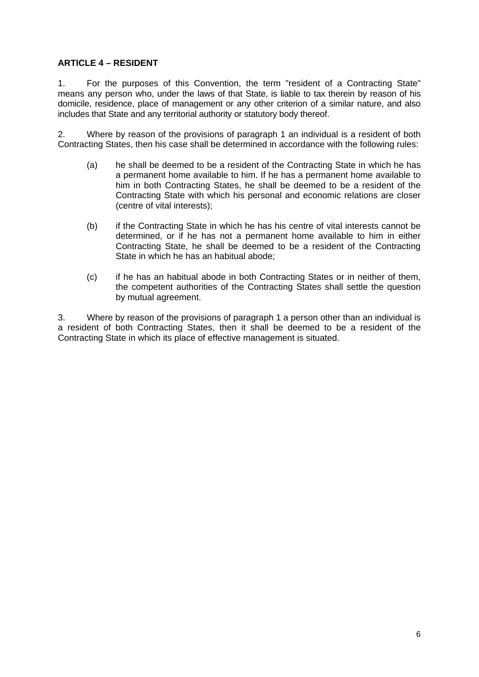# **ARTICLE 4 – RESIDENT**

1. For the purposes of this Convention, the term "resident of a Contracting State" means any person who, under the laws of that State, is liable to tax therein by reason of his domicile, residence, place of management or any other criterion of a similar nature, and also includes that State and any territorial authority or statutory body thereof.

2. Where by reason of the provisions of paragraph 1 an individual is a resident of both Contracting States, then his case shall be determined in accordance with the following rules:

- (a) he shall be deemed to be a resident of the Contracting State in which he has a permanent home available to him. If he has a permanent home available to him in both Contracting States, he shall be deemed to be a resident of the Contracting State with which his personal and economic relations are closer (centre of vital interests);
- (b) if the Contracting State in which he has his centre of vital interests cannot be determined, or if he has not a permanent home available to him in either Contracting State, he shall be deemed to be a resident of the Contracting State in which he has an habitual abode;
- (c) if he has an habitual abode in both Contracting States or in neither of them, the competent authorities of the Contracting States shall settle the question by mutual agreement.

3. Where by reason of the provisions of paragraph 1 a person other than an individual is a resident of both Contracting States, then it shall be deemed to be a resident of the Contracting State in which its place of effective management is situated.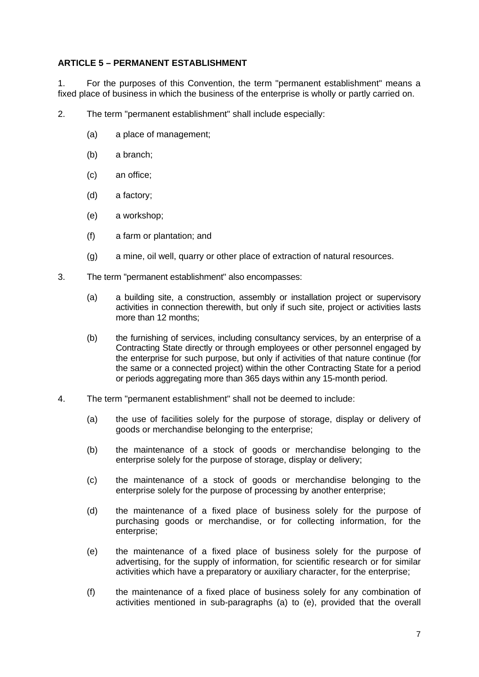#### **ARTICLE 5 – PERMANENT ESTABLISHMENT**

1. For the purposes of this Convention, the term "permanent establishment" means a fixed place of business in which the business of the enterprise is wholly or partly carried on.

- 2. The term "permanent establishment" shall include especially:
	- (a) a place of management;
	- (b) a branch;
	- (c) an office;
	- (d) a factory;
	- (e) a workshop;
	- (f) a farm or plantation; and
	- (g) a mine, oil well, quarry or other place of extraction of natural resources.
- 3. The term "permanent establishment" also encompasses:
	- (a) a building site, a construction, assembly or installation project or supervisory activities in connection therewith, but only if such site, project or activities lasts more than 12 months;
	- (b) the furnishing of services, including consultancy services, by an enterprise of a Contracting State directly or through employees or other personnel engaged by the enterprise for such purpose, but only if activities of that nature continue (for the same or a connected project) within the other Contracting State for a period or periods aggregating more than 365 days within any 15-month period.
- 4. The term "permanent establishment" shall not be deemed to include:
	- (a) the use of facilities solely for the purpose of storage, display or delivery of goods or merchandise belonging to the enterprise;
	- (b) the maintenance of a stock of goods or merchandise belonging to the enterprise solely for the purpose of storage, display or delivery;
	- (c) the maintenance of a stock of goods or merchandise belonging to the enterprise solely for the purpose of processing by another enterprise;
	- (d) the maintenance of a fixed place of business solely for the purpose of purchasing goods or merchandise, or for collecting information, for the enterprise;
	- (e) the maintenance of a fixed place of business solely for the purpose of advertising, for the supply of information, for scientific research or for similar activities which have a preparatory or auxiliary character, for the enterprise;
	- (f) the maintenance of a fixed place of business solely for any combination of activities mentioned in sub-paragraphs (a) to (e), provided that the overall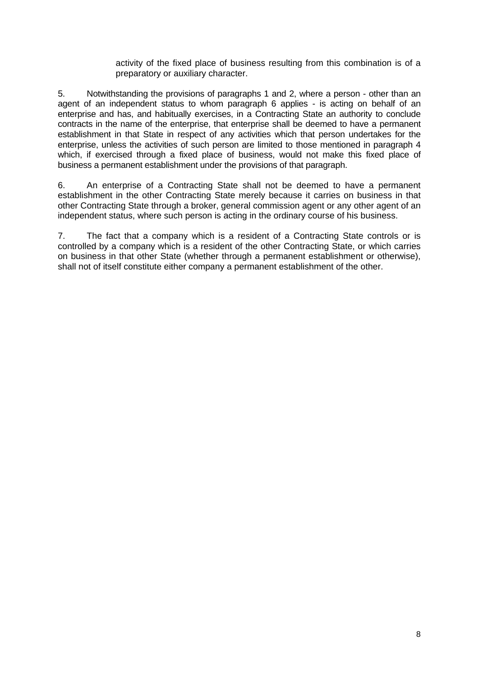activity of the fixed place of business resulting from this combination is of a preparatory or auxiliary character.

5. Notwithstanding the provisions of paragraphs 1 and 2, where a person - other than an agent of an independent status to whom paragraph 6 applies - is acting on behalf of an enterprise and has, and habitually exercises, in a Contracting State an authority to conclude contracts in the name of the enterprise, that enterprise shall be deemed to have a permanent establishment in that State in respect of any activities which that person undertakes for the enterprise, unless the activities of such person are limited to those mentioned in paragraph 4 which, if exercised through a fixed place of business, would not make this fixed place of business a permanent establishment under the provisions of that paragraph.

6. An enterprise of a Contracting State shall not be deemed to have a permanent establishment in the other Contracting State merely because it carries on business in that other Contracting State through a broker, general commission agent or any other agent of an independent status, where such person is acting in the ordinary course of his business.

7. The fact that a company which is a resident of a Contracting State controls or is controlled by a company which is a resident of the other Contracting State, or which carries on business in that other State (whether through a permanent establishment or otherwise), shall not of itself constitute either company a permanent establishment of the other.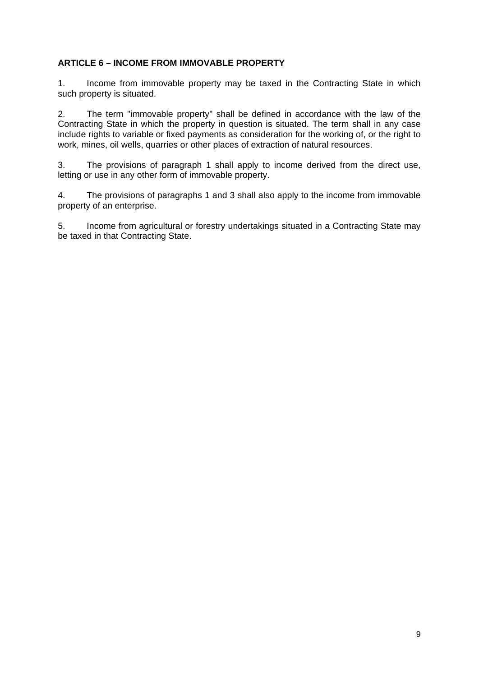#### **ARTICLE 6 – INCOME FROM IMMOVABLE PROPERTY**

1. Income from immovable property may be taxed in the Contracting State in which such property is situated.

2. The term "immovable property" shall be defined in accordance with the law of the Contracting State in which the property in question is situated. The term shall in any case include rights to variable or fixed payments as consideration for the working of, or the right to work, mines, oil wells, quarries or other places of extraction of natural resources.

3. The provisions of paragraph 1 shall apply to income derived from the direct use, letting or use in any other form of immovable property.

4. The provisions of paragraphs 1 and 3 shall also apply to the income from immovable property of an enterprise.

5. Income from agricultural or forestry undertakings situated in a Contracting State may be taxed in that Contracting State.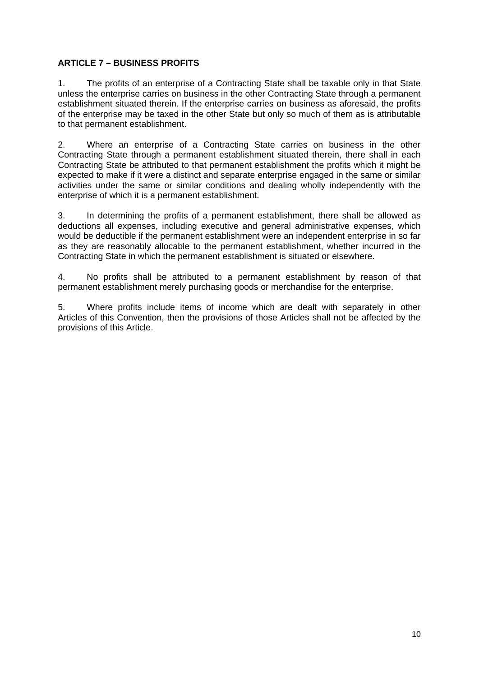#### **ARTICLE 7 – BUSINESS PROFITS**

1. The profits of an enterprise of a Contracting State shall be taxable only in that State unless the enterprise carries on business in the other Contracting State through a permanent establishment situated therein. If the enterprise carries on business as aforesaid, the profits of the enterprise may be taxed in the other State but only so much of them as is attributable to that permanent establishment.

2. Where an enterprise of a Contracting State carries on business in the other Contracting State through a permanent establishment situated therein, there shall in each Contracting State be attributed to that permanent establishment the profits which it might be expected to make if it were a distinct and separate enterprise engaged in the same or similar activities under the same or similar conditions and dealing wholly independently with the enterprise of which it is a permanent establishment.

3. In determining the profits of a permanent establishment, there shall be allowed as deductions all expenses, including executive and general administrative expenses, which would be deductible if the permanent establishment were an independent enterprise in so far as they are reasonably allocable to the permanent establishment, whether incurred in the Contracting State in which the permanent establishment is situated or elsewhere.

4. No profits shall be attributed to a permanent establishment by reason of that permanent establishment merely purchasing goods or merchandise for the enterprise.

5. Where profits include items of income which are dealt with separately in other Articles of this Convention, then the provisions of those Articles shall not be affected by the provisions of this Article.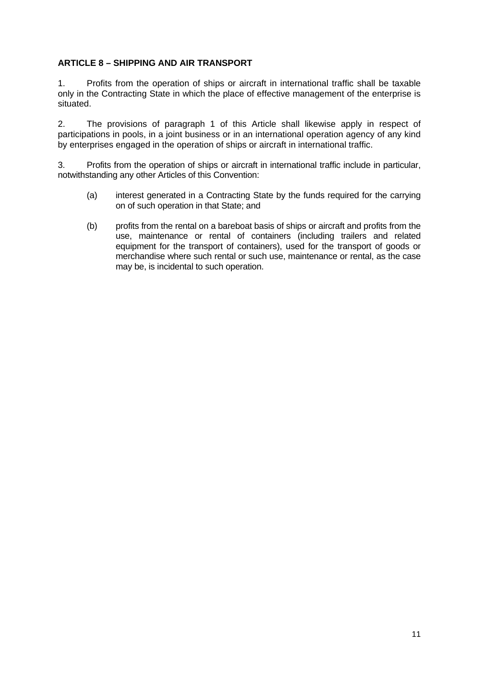### **ARTICLE 8 – SHIPPING AND AIR TRANSPORT**

1. Profits from the operation of ships or aircraft in international traffic shall be taxable only in the Contracting State in which the place of effective management of the enterprise is situated.

2. The provisions of paragraph 1 of this Article shall likewise apply in respect of participations in pools, in a joint business or in an international operation agency of any kind by enterprises engaged in the operation of ships or aircraft in international traffic.

3. Profits from the operation of ships or aircraft in international traffic include in particular, notwithstanding any other Articles of this Convention:

- (a) interest generated in a Contracting State by the funds required for the carrying on of such operation in that State; and
- (b) profits from the rental on a bareboat basis of ships or aircraft and profits from the use, maintenance or rental of containers (including trailers and related equipment for the transport of containers), used for the transport of goods or merchandise where such rental or such use, maintenance or rental, as the case may be, is incidental to such operation.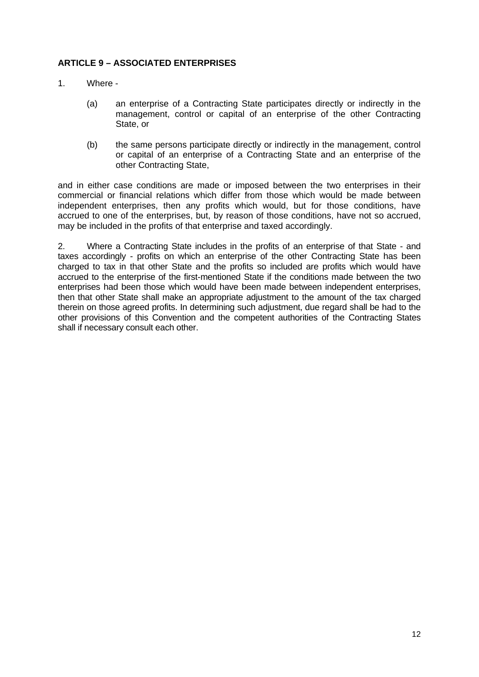# **ARTICLE 9 – ASSOCIATED ENTERPRISES**

- 1. Where
	- (a) an enterprise of a Contracting State participates directly or indirectly in the management, control or capital of an enterprise of the other Contracting State, or
	- (b) the same persons participate directly or indirectly in the management, control or capital of an enterprise of a Contracting State and an enterprise of the other Contracting State,

and in either case conditions are made or imposed between the two enterprises in their commercial or financial relations which differ from those which would be made between independent enterprises, then any profits which would, but for those conditions, have accrued to one of the enterprises, but, by reason of those conditions, have not so accrued, may be included in the profits of that enterprise and taxed accordingly.

2. Where a Contracting State includes in the profits of an enterprise of that State - and taxes accordingly - profits on which an enterprise of the other Contracting State has been charged to tax in that other State and the profits so included are profits which would have accrued to the enterprise of the first-mentioned State if the conditions made between the two enterprises had been those which would have been made between independent enterprises, then that other State shall make an appropriate adjustment to the amount of the tax charged therein on those agreed profits. In determining such adjustment, due regard shall be had to the other provisions of this Convention and the competent authorities of the Contracting States shall if necessary consult each other.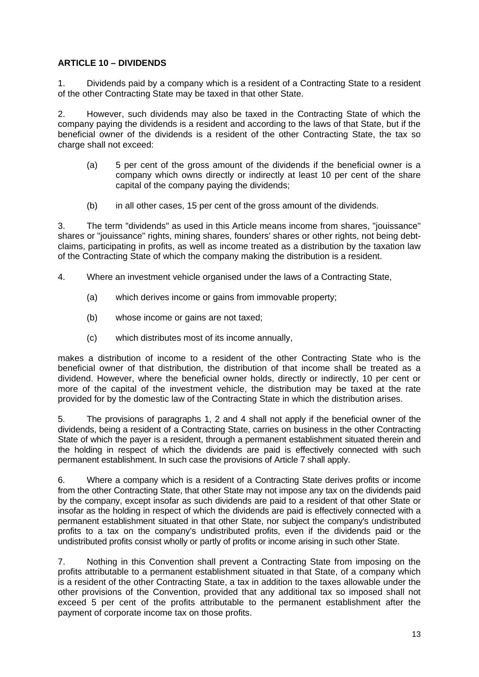# **ARTICLE 10 – DIVIDENDS**

1. Dividends paid by a company which is a resident of a Contracting State to a resident of the other Contracting State may be taxed in that other State.

2. However, such dividends may also be taxed in the Contracting State of which the company paying the dividends is a resident and according to the laws of that State, but if the beneficial owner of the dividends is a resident of the other Contracting State, the tax so charge shall not exceed:

- (a) 5 per cent of the gross amount of the dividends if the beneficial owner is a company which owns directly or indirectly at least 10 per cent of the share capital of the company paying the dividends;
- (b) in all other cases, 15 per cent of the gross amount of the dividends.

3. The term "dividends" as used in this Article means income from shares, "jouissance" shares or "jouissance" rights, mining shares, founders' shares or other rights, not being debtclaims, participating in profits, as well as income treated as a distribution by the taxation law of the Contracting State of which the company making the distribution is a resident.

- 4. Where an investment vehicle organised under the laws of a Contracting State,
	- (a) which derives income or gains from immovable property;
	- (b) whose income or gains are not taxed;
	- (c) which distributes most of its income annually,

makes a distribution of income to a resident of the other Contracting State who is the beneficial owner of that distribution, the distribution of that income shall be treated as a dividend. However, where the beneficial owner holds, directly or indirectly, 10 per cent or more of the capital of the investment vehicle, the distribution may be taxed at the rate provided for by the domestic law of the Contracting State in which the distribution arises.

5. The provisions of paragraphs 1, 2 and 4 shall not apply if the beneficial owner of the dividends, being a resident of a Contracting State, carries on business in the other Contracting State of which the payer is a resident, through a permanent establishment situated therein and the holding in respect of which the dividends are paid is effectively connected with such permanent establishment. In such case the provisions of Article 7 shall apply.

6. Where a company which is a resident of a Contracting State derives profits or income from the other Contracting State, that other State may not impose any tax on the dividends paid by the company, except insofar as such dividends are paid to a resident of that other State or insofar as the holding in respect of which the dividends are paid is effectively connected with a permanent establishment situated in that other State, nor subject the company's undistributed profits to a tax on the company's undistributed profits, even if the dividends paid or the undistributed profits consist wholly or partly of profits or income arising in such other State.

7. Nothing in this Convention shall prevent a Contracting State from imposing on the profits attributable to a permanent establishment situated in that State, of a company which is a resident of the other Contracting State, a tax in addition to the taxes allowable under the other provisions of the Convention, provided that any additional tax so imposed shall not exceed 5 per cent of the profits attributable to the permanent establishment after the payment of corporate income tax on those profits.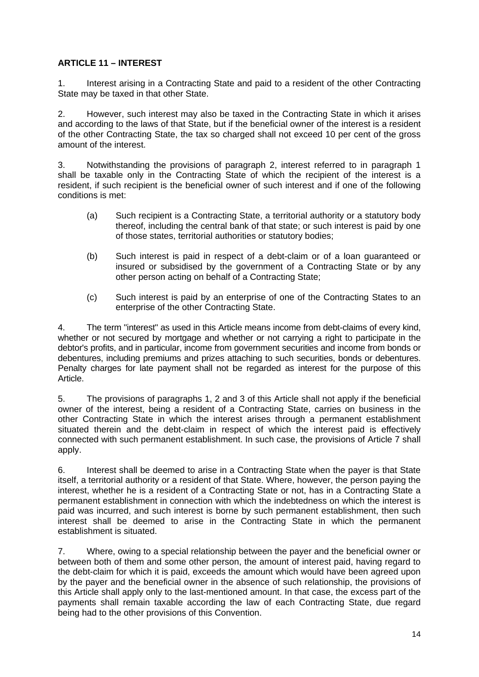# **ARTICLE 11 – INTEREST**

1. Interest arising in a Contracting State and paid to a resident of the other Contracting State may be taxed in that other State.

2. However, such interest may also be taxed in the Contracting State in which it arises and according to the laws of that State, but if the beneficial owner of the interest is a resident of the other Contracting State, the tax so charged shall not exceed 10 per cent of the gross amount of the interest.

3. Notwithstanding the provisions of paragraph 2, interest referred to in paragraph 1 shall be taxable only in the Contracting State of which the recipient of the interest is a resident, if such recipient is the beneficial owner of such interest and if one of the following conditions is met:

- (a) Such recipient is a Contracting State, a territorial authority or a statutory body thereof, including the central bank of that state; or such interest is paid by one of those states, territorial authorities or statutory bodies;
- (b) Such interest is paid in respect of a debt-claim or of a loan guaranteed or insured or subsidised by the government of a Contracting State or by any other person acting on behalf of a Contracting State;
- (c) Such interest is paid by an enterprise of one of the Contracting States to an enterprise of the other Contracting State.

4. The term "interest" as used in this Article means income from debt-claims of every kind, whether or not secured by mortgage and whether or not carrying a right to participate in the debtor's profits, and in particular, income from government securities and income from bonds or debentures, including premiums and prizes attaching to such securities, bonds or debentures. Penalty charges for late payment shall not be regarded as interest for the purpose of this Article.

5. The provisions of paragraphs 1, 2 and 3 of this Article shall not apply if the beneficial owner of the interest, being a resident of a Contracting State, carries on business in the other Contracting State in which the interest arises through a permanent establishment situated therein and the debt-claim in respect of which the interest paid is effectively connected with such permanent establishment. In such case, the provisions of Article 7 shall apply.

6. Interest shall be deemed to arise in a Contracting State when the payer is that State itself, a territorial authority or a resident of that State. Where, however, the person paying the interest, whether he is a resident of a Contracting State or not, has in a Contracting State a permanent establishment in connection with which the indebtedness on which the interest is paid was incurred, and such interest is borne by such permanent establishment, then such interest shall be deemed to arise in the Contracting State in which the permanent establishment is situated.

7. Where, owing to a special relationship between the payer and the beneficial owner or between both of them and some other person, the amount of interest paid, having regard to the debt-claim for which it is paid, exceeds the amount which would have been agreed upon by the payer and the beneficial owner in the absence of such relationship, the provisions of this Article shall apply only to the last-mentioned amount. In that case, the excess part of the payments shall remain taxable according the law of each Contracting State, due regard being had to the other provisions of this Convention.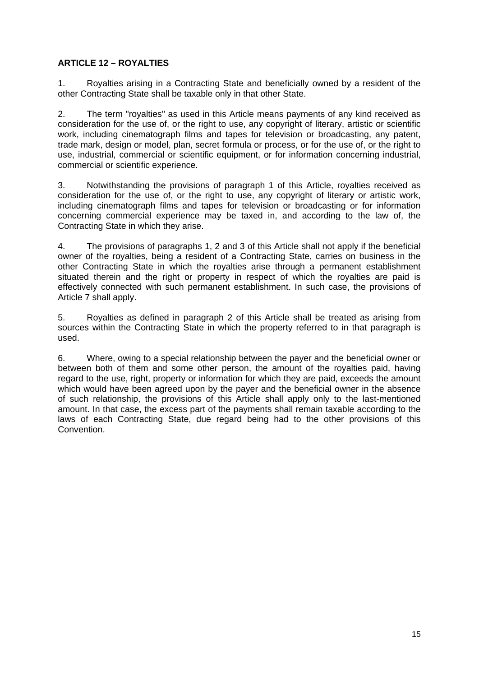### **ARTICLE 12 – ROYALTIES**

1. Royalties arising in a Contracting State and beneficially owned by a resident of the other Contracting State shall be taxable only in that other State.

2. The term "royalties" as used in this Article means payments of any kind received as consideration for the use of, or the right to use, any copyright of literary, artistic or scientific work, including cinematograph films and tapes for television or broadcasting, any patent, trade mark, design or model, plan, secret formula or process, or for the use of, or the right to use, industrial, commercial or scientific equipment, or for information concerning industrial, commercial or scientific experience.

3. Notwithstanding the provisions of paragraph 1 of this Article, royalties received as consideration for the use of, or the right to use, any copyright of literary or artistic work, including cinematograph films and tapes for television or broadcasting or for information concerning commercial experience may be taxed in, and according to the law of, the Contracting State in which they arise.

4. The provisions of paragraphs 1, 2 and 3 of this Article shall not apply if the beneficial owner of the royalties, being a resident of a Contracting State, carries on business in the other Contracting State in which the royalties arise through a permanent establishment situated therein and the right or property in respect of which the royalties are paid is effectively connected with such permanent establishment. In such case, the provisions of Article 7 shall apply.

5. Royalties as defined in paragraph 2 of this Article shall be treated as arising from sources within the Contracting State in which the property referred to in that paragraph is used.

6. Where, owing to a special relationship between the payer and the beneficial owner or between both of them and some other person, the amount of the royalties paid, having regard to the use, right, property or information for which they are paid, exceeds the amount which would have been agreed upon by the payer and the beneficial owner in the absence of such relationship, the provisions of this Article shall apply only to the last-mentioned amount. In that case, the excess part of the payments shall remain taxable according to the laws of each Contracting State, due regard being had to the other provisions of this Convention.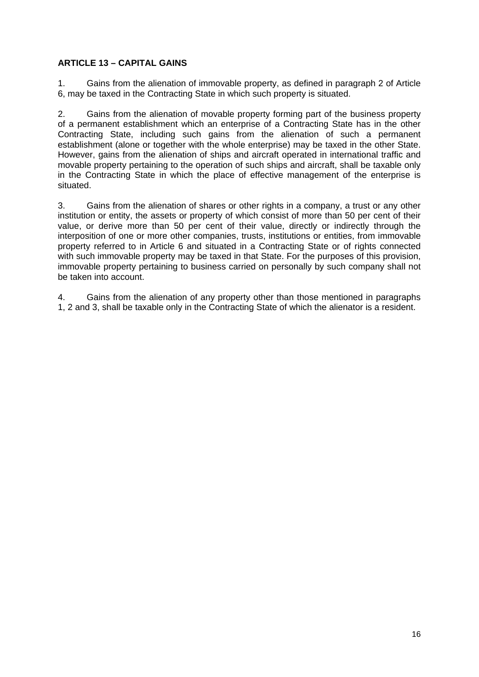#### **ARTICLE 13 – CAPITAL GAINS**

1. Gains from the alienation of immovable property, as defined in paragraph 2 of Article 6, may be taxed in the Contracting State in which such property is situated.

2. Gains from the alienation of movable property forming part of the business property of a permanent establishment which an enterprise of a Contracting State has in the other Contracting State, including such gains from the alienation of such a permanent establishment (alone or together with the whole enterprise) may be taxed in the other State. However, gains from the alienation of ships and aircraft operated in international traffic and movable property pertaining to the operation of such ships and aircraft, shall be taxable only in the Contracting State in which the place of effective management of the enterprise is situated.

3. Gains from the alienation of shares or other rights in a company, a trust or any other institution or entity, the assets or property of which consist of more than 50 per cent of their value, or derive more than 50 per cent of their value, directly or indirectly through the interposition of one or more other companies, trusts, institutions or entities, from immovable property referred to in Article 6 and situated in a Contracting State or of rights connected with such immovable property may be taxed in that State. For the purposes of this provision, immovable property pertaining to business carried on personally by such company shall not be taken into account.

4. Gains from the alienation of any property other than those mentioned in paragraphs 1, 2 and 3, shall be taxable only in the Contracting State of which the alienator is a resident.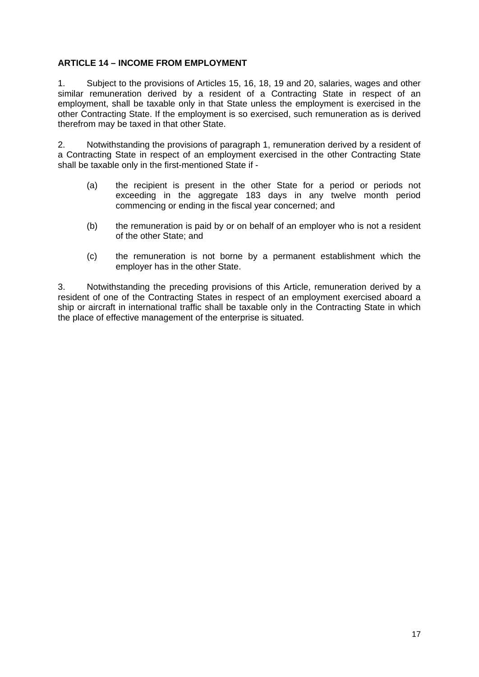#### **ARTICLE 14 – INCOME FROM EMPLOYMENT**

1. Subject to the provisions of Articles 15, 16, 18, 19 and 20, salaries, wages and other similar remuneration derived by a resident of a Contracting State in respect of an employment, shall be taxable only in that State unless the employment is exercised in the other Contracting State. If the employment is so exercised, such remuneration as is derived therefrom may be taxed in that other State.

2. Notwithstanding the provisions of paragraph 1, remuneration derived by a resident of a Contracting State in respect of an employment exercised in the other Contracting State shall be taxable only in the first-mentioned State if -

- (a) the recipient is present in the other State for a period or periods not exceeding in the aggregate 183 days in any twelve month period commencing or ending in the fiscal year concerned; and
- (b) the remuneration is paid by or on behalf of an employer who is not a resident of the other State; and
- (c) the remuneration is not borne by a permanent establishment which the employer has in the other State.

3. Notwithstanding the preceding provisions of this Article, remuneration derived by a resident of one of the Contracting States in respect of an employment exercised aboard a ship or aircraft in international traffic shall be taxable only in the Contracting State in which the place of effective management of the enterprise is situated.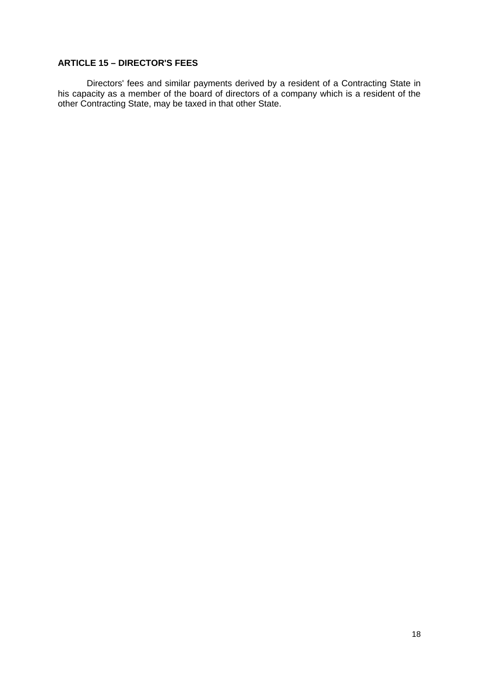#### **ARTICLE 15 – DIRECTOR'S FEES**

Directors' fees and similar payments derived by a resident of a Contracting State in his capacity as a member of the board of directors of a company which is a resident of the other Contracting State, may be taxed in that other State.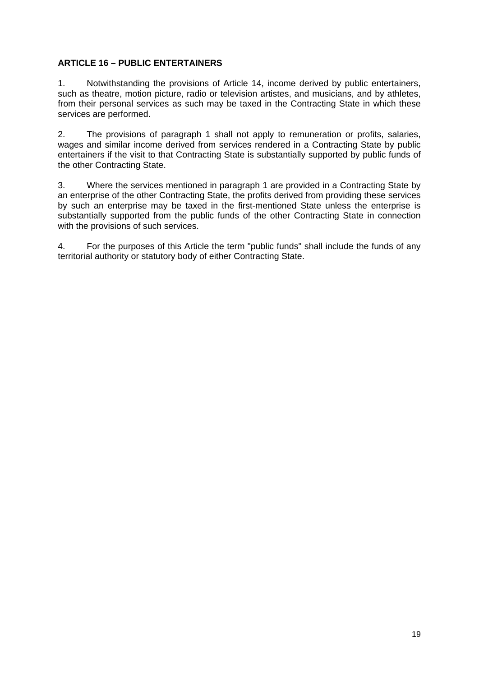### **ARTICLE 16 – PUBLIC ENTERTAINERS**

1. Notwithstanding the provisions of Article 14, income derived by public entertainers, such as theatre, motion picture, radio or television artistes, and musicians, and by athletes, from their personal services as such may be taxed in the Contracting State in which these services are performed.

2. The provisions of paragraph 1 shall not apply to remuneration or profits, salaries, wages and similar income derived from services rendered in a Contracting State by public entertainers if the visit to that Contracting State is substantially supported by public funds of the other Contracting State.

3. Where the services mentioned in paragraph 1 are provided in a Contracting State by an enterprise of the other Contracting State, the profits derived from providing these services by such an enterprise may be taxed in the first-mentioned State unless the enterprise is substantially supported from the public funds of the other Contracting State in connection with the provisions of such services.

4. For the purposes of this Article the term "public funds" shall include the funds of any territorial authority or statutory body of either Contracting State.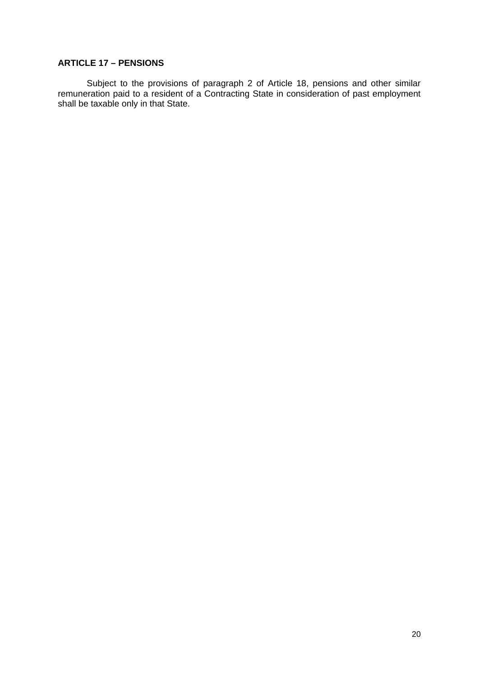#### **ARTICLE 17 – PENSIONS**

Subject to the provisions of paragraph 2 of Article 18, pensions and other similar remuneration paid to a resident of a Contracting State in consideration of past employment shall be taxable only in that State.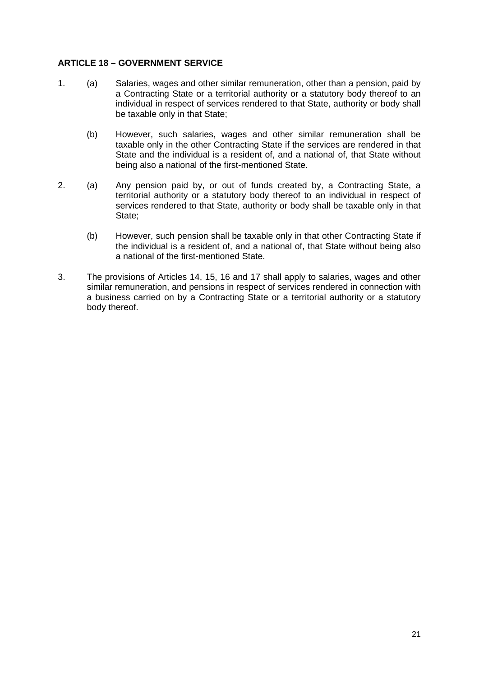#### **ARTICLE 18 – GOVERNMENT SERVICE**

- 1. (a) Salaries, wages and other similar remuneration, other than a pension, paid by a Contracting State or a territorial authority or a statutory body thereof to an individual in respect of services rendered to that State, authority or body shall be taxable only in that State;
	- (b) However, such salaries, wages and other similar remuneration shall be taxable only in the other Contracting State if the services are rendered in that State and the individual is a resident of, and a national of, that State without being also a national of the first-mentioned State.
- 2. (a) Any pension paid by, or out of funds created by, a Contracting State, a territorial authority or a statutory body thereof to an individual in respect of services rendered to that State, authority or body shall be taxable only in that State;
	- (b) However, such pension shall be taxable only in that other Contracting State if the individual is a resident of, and a national of, that State without being also a national of the first-mentioned State.
- 3. The provisions of Articles 14, 15, 16 and 17 shall apply to salaries, wages and other similar remuneration, and pensions in respect of services rendered in connection with a business carried on by a Contracting State or a territorial authority or a statutory body thereof.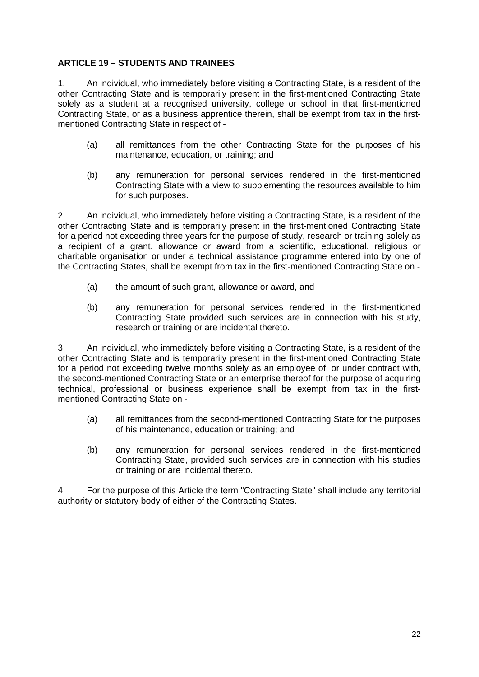### **ARTICLE 19 – STUDENTS AND TRAINEES**

1. An individual, who immediately before visiting a Contracting State, is a resident of the other Contracting State and is temporarily present in the first-mentioned Contracting State solely as a student at a recognised university, college or school in that first-mentioned Contracting State, or as a business apprentice therein, shall be exempt from tax in the firstmentioned Contracting State in respect of -

- (a) all remittances from the other Contracting State for the purposes of his maintenance, education, or training; and
- (b) any remuneration for personal services rendered in the first-mentioned Contracting State with a view to supplementing the resources available to him for such purposes.

2. An individual, who immediately before visiting a Contracting State, is a resident of the other Contracting State and is temporarily present in the first-mentioned Contracting State for a period not exceeding three years for the purpose of study, research or training solely as a recipient of a grant, allowance or award from a scientific, educational, religious or charitable organisation or under a technical assistance programme entered into by one of the Contracting States, shall be exempt from tax in the first-mentioned Contracting State on -

- (a) the amount of such grant, allowance or award, and
- (b) any remuneration for personal services rendered in the first-mentioned Contracting State provided such services are in connection with his study, research or training or are incidental thereto.

3. An individual, who immediately before visiting a Contracting State, is a resident of the other Contracting State and is temporarily present in the first-mentioned Contracting State for a period not exceeding twelve months solely as an employee of, or under contract with, the second-mentioned Contracting State or an enterprise thereof for the purpose of acquiring technical, professional or business experience shall be exempt from tax in the firstmentioned Contracting State on -

- (a) all remittances from the second-mentioned Contracting State for the purposes of his maintenance, education or training; and
- (b) any remuneration for personal services rendered in the first-mentioned Contracting State, provided such services are in connection with his studies or training or are incidental thereto.

4. For the purpose of this Article the term "Contracting State" shall include any territorial authority or statutory body of either of the Contracting States.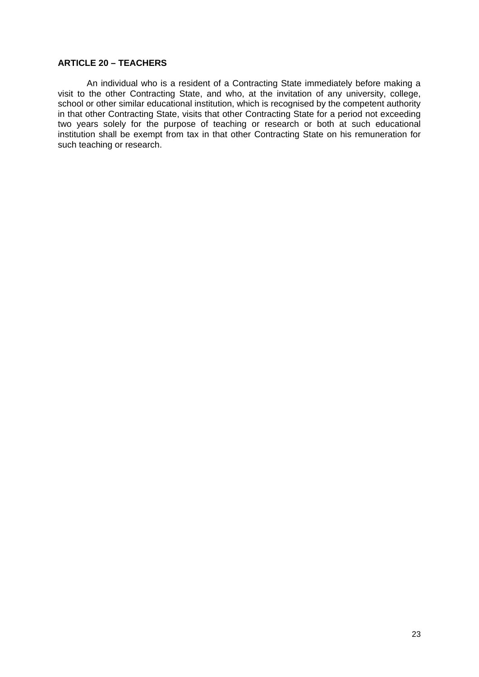#### **ARTICLE 20 – TEACHERS**

An individual who is a resident of a Contracting State immediately before making a visit to the other Contracting State, and who, at the invitation of any university, college, school or other similar educational institution, which is recognised by the competent authority in that other Contracting State, visits that other Contracting State for a period not exceeding two years solely for the purpose of teaching or research or both at such educational institution shall be exempt from tax in that other Contracting State on his remuneration for such teaching or research.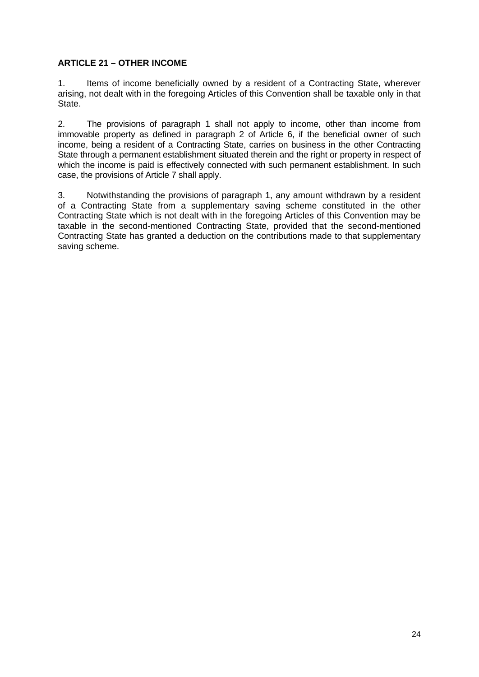#### **ARTICLE 21 – OTHER INCOME**

1. Items of income beneficially owned by a resident of a Contracting State, wherever arising, not dealt with in the foregoing Articles of this Convention shall be taxable only in that State.

2. The provisions of paragraph 1 shall not apply to income, other than income from immovable property as defined in paragraph 2 of Article 6, if the beneficial owner of such income, being a resident of a Contracting State, carries on business in the other Contracting State through a permanent establishment situated therein and the right or property in respect of which the income is paid is effectively connected with such permanent establishment. In such case, the provisions of Article 7 shall apply.

3. Notwithstanding the provisions of paragraph 1, any amount withdrawn by a resident of a Contracting State from a supplementary saving scheme constituted in the other Contracting State which is not dealt with in the foregoing Articles of this Convention may be taxable in the second-mentioned Contracting State, provided that the second-mentioned Contracting State has granted a deduction on the contributions made to that supplementary saving scheme.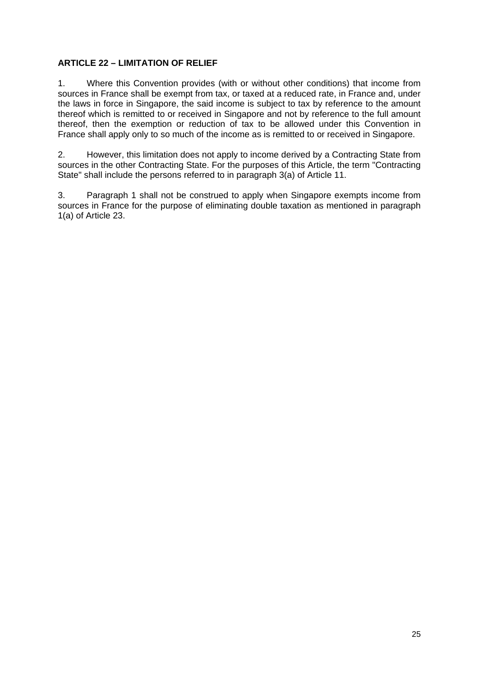#### **ARTICLE 22 – LIMITATION OF RELIEF**

1. Where this Convention provides (with or without other conditions) that income from sources in France shall be exempt from tax, or taxed at a reduced rate, in France and, under the laws in force in Singapore, the said income is subject to tax by reference to the amount thereof which is remitted to or received in Singapore and not by reference to the full amount thereof, then the exemption or reduction of tax to be allowed under this Convention in France shall apply only to so much of the income as is remitted to or received in Singapore.

2. However, this limitation does not apply to income derived by a Contracting State from sources in the other Contracting State. For the purposes of this Article, the term "Contracting State" shall include the persons referred to in paragraph 3(a) of Article 11.

3. Paragraph 1 shall not be construed to apply when Singapore exempts income from sources in France for the purpose of eliminating double taxation as mentioned in paragraph 1(a) of Article 23.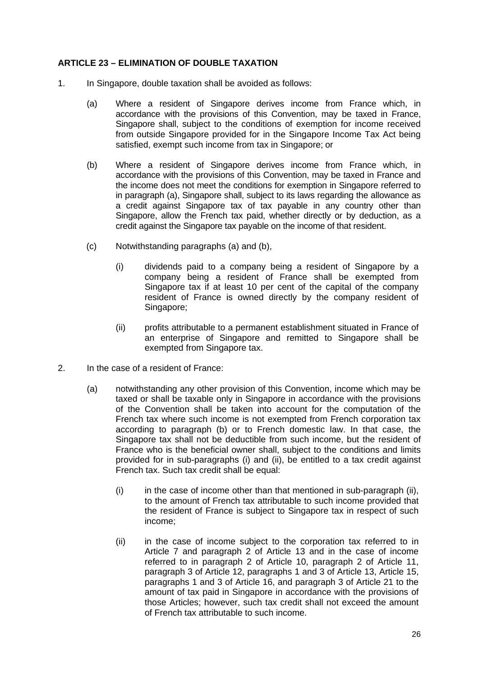#### **ARTICLE 23 – ELIMINATION OF DOUBLE TAXATION**

- 1. In Singapore, double taxation shall be avoided as follows:
	- (a) Where a resident of Singapore derives income from France which, in accordance with the provisions of this Convention, may be taxed in France, Singapore shall, subject to the conditions of exemption for income received from outside Singapore provided for in the Singapore Income Tax Act being satisfied, exempt such income from tax in Singapore; or
	- (b) Where a resident of Singapore derives income from France which, in accordance with the provisions of this Convention, may be taxed in France and the income does not meet the conditions for exemption in Singapore referred to in paragraph (a), Singapore shall, subject to its laws regarding the allowance as a credit against Singapore tax of tax payable in any country other than Singapore, allow the French tax paid, whether directly or by deduction, as a credit against the Singapore tax payable on the income of that resident.
	- (c) Notwithstanding paragraphs (a) and (b),
		- (i) dividends paid to a company being a resident of Singapore by a company being a resident of France shall be exempted from Singapore tax if at least 10 per cent of the capital of the company resident of France is owned directly by the company resident of Singapore;
		- (ii) profits attributable to a permanent establishment situated in France of an enterprise of Singapore and remitted to Singapore shall be exempted from Singapore tax.
- 2. In the case of a resident of France:
	- (a) notwithstanding any other provision of this Convention, income which may be taxed or shall be taxable only in Singapore in accordance with the provisions of the Convention shall be taken into account for the computation of the French tax where such income is not exempted from French corporation tax according to paragraph (b) or to French domestic law. In that case, the Singapore tax shall not be deductible from such income, but the resident of France who is the beneficial owner shall, subject to the conditions and limits provided for in sub-paragraphs (i) and (ii), be entitled to a tax credit against French tax. Such tax credit shall be equal:
		- (i) in the case of income other than that mentioned in sub-paragraph (ii), to the amount of French tax attributable to such income provided that the resident of France is subject to Singapore tax in respect of such income;
		- (ii) in the case of income subject to the corporation tax referred to in Article 7 and paragraph 2 of Article 13 and in the case of income referred to in paragraph 2 of Article 10, paragraph 2 of Article 11, paragraph 3 of Article 12, paragraphs 1 and 3 of Article 13, Article 15, paragraphs 1 and 3 of Article 16, and paragraph 3 of Article 21 to the amount of tax paid in Singapore in accordance with the provisions of those Articles; however, such tax credit shall not exceed the amount of French tax attributable to such income.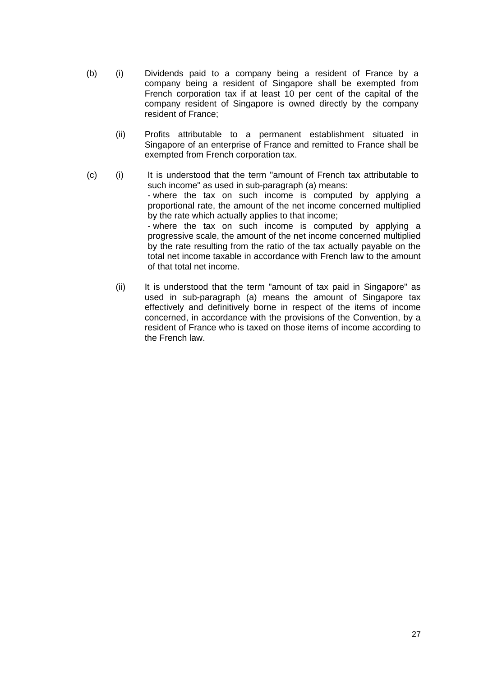- (b) (i) Dividends paid to a company being a resident of France by a company being a resident of Singapore shall be exempted from French corporation tax if at least 10 per cent of the capital of the company resident of Singapore is owned directly by the company resident of France;
	- (ii) Profits attributable to a permanent establishment situated in Singapore of an enterprise of France and remitted to France shall be exempted from French corporation tax.
- (c) (i) It is understood that the term "amount of French tax attributable to such income" as used in sub-paragraph (a) means: - where the tax on such income is computed by applying a proportional rate, the amount of the net income concerned multiplied by the rate which actually applies to that income; - where the tax on such income is computed by applying a progressive scale, the amount of the net income concerned multiplied by the rate resulting from the ratio of the tax actually payable on the total net income taxable in accordance with French law to the amount of that total net income.
	- (ii) It is understood that the term "amount of tax paid in Singapore" as used in sub-paragraph (a) means the amount of Singapore tax effectively and definitively borne in respect of the items of income concerned, in accordance with the provisions of the Convention, by a resident of France who is taxed on those items of income according to the French law.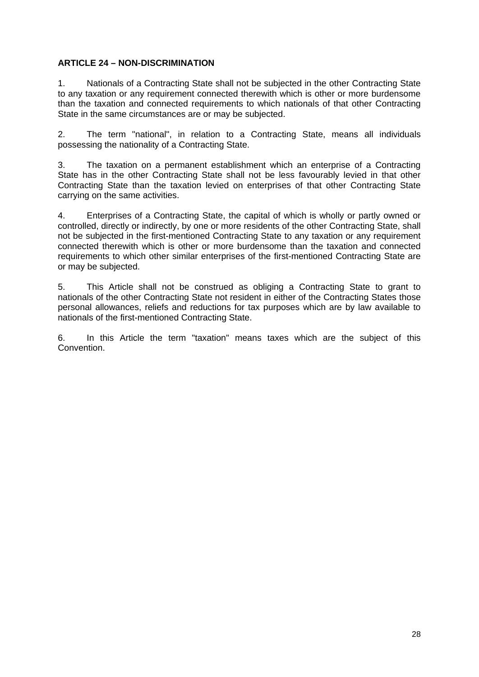#### **ARTICLE 24 – NON-DISCRIMINATION**

1. Nationals of a Contracting State shall not be subjected in the other Contracting State to any taxation or any requirement connected therewith which is other or more burdensome than the taxation and connected requirements to which nationals of that other Contracting State in the same circumstances are or may be subjected.

2. The term "national", in relation to a Contracting State, means all individuals possessing the nationality of a Contracting State.

3. The taxation on a permanent establishment which an enterprise of a Contracting State has in the other Contracting State shall not be less favourably levied in that other Contracting State than the taxation levied on enterprises of that other Contracting State carrying on the same activities.

4. Enterprises of a Contracting State, the capital of which is wholly or partly owned or controlled, directly or indirectly, by one or more residents of the other Contracting State, shall not be subjected in the first-mentioned Contracting State to any taxation or any requirement connected therewith which is other or more burdensome than the taxation and connected requirements to which other similar enterprises of the first-mentioned Contracting State are or may be subjected.

5. This Article shall not be construed as obliging a Contracting State to grant to nationals of the other Contracting State not resident in either of the Contracting States those personal allowances, reliefs and reductions for tax purposes which are by law available to nationals of the first-mentioned Contracting State.

6. In this Article the term "taxation" means taxes which are the subject of this Convention.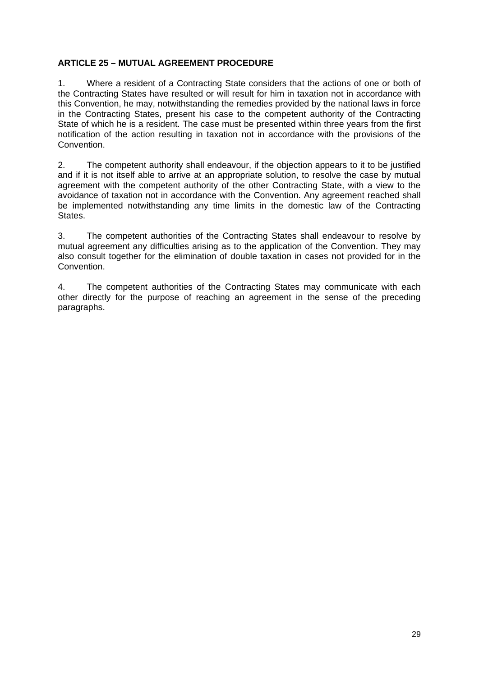#### **ARTICLE 25 – MUTUAL AGREEMENT PROCEDURE**

1. Where a resident of a Contracting State considers that the actions of one or both of the Contracting States have resulted or will result for him in taxation not in accordance with this Convention, he may, notwithstanding the remedies provided by the national laws in force in the Contracting States, present his case to the competent authority of the Contracting State of which he is a resident. The case must be presented within three years from the first notification of the action resulting in taxation not in accordance with the provisions of the Convention.

2. The competent authority shall endeavour, if the objection appears to it to be justified and if it is not itself able to arrive at an appropriate solution, to resolve the case by mutual agreement with the competent authority of the other Contracting State, with a view to the avoidance of taxation not in accordance with the Convention. Any agreement reached shall be implemented notwithstanding any time limits in the domestic law of the Contracting States.

3. The competent authorities of the Contracting States shall endeavour to resolve by mutual agreement any difficulties arising as to the application of the Convention. They may also consult together for the elimination of double taxation in cases not provided for in the Convention.

4. The competent authorities of the Contracting States may communicate with each other directly for the purpose of reaching an agreement in the sense of the preceding paragraphs.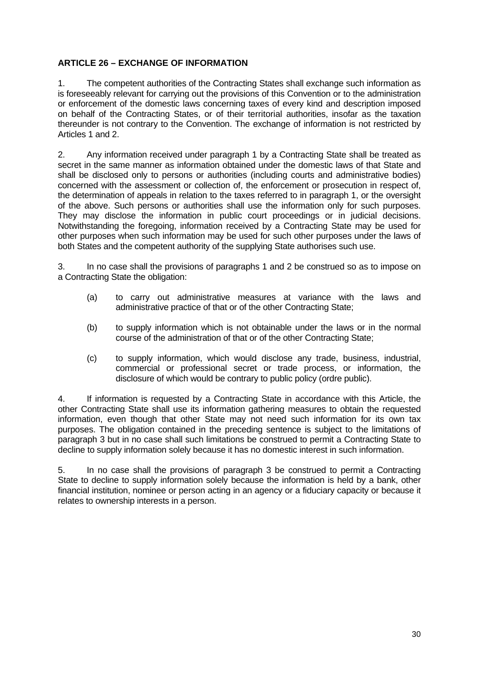# **ARTICLE 26 – EXCHANGE OF INFORMATION**

1. The competent authorities of the Contracting States shall exchange such information as is foreseeably relevant for carrying out the provisions of this Convention or to the administration or enforcement of the domestic laws concerning taxes of every kind and description imposed on behalf of the Contracting States, or of their territorial authorities, insofar as the taxation thereunder is not contrary to the Convention. The exchange of information is not restricted by Articles 1 and 2.

2. Any information received under paragraph 1 by a Contracting State shall be treated as secret in the same manner as information obtained under the domestic laws of that State and shall be disclosed only to persons or authorities (including courts and administrative bodies) concerned with the assessment or collection of, the enforcement or prosecution in respect of, the determination of appeals in relation to the taxes referred to in paragraph 1, or the oversight of the above. Such persons or authorities shall use the information only for such purposes. They may disclose the information in public court proceedings or in judicial decisions. Notwithstanding the foregoing, information received by a Contracting State may be used for other purposes when such information may be used for such other purposes under the laws of both States and the competent authority of the supplying State authorises such use.

3. In no case shall the provisions of paragraphs 1 and 2 be construed so as to impose on a Contracting State the obligation:

- (a) to carry out administrative measures at variance with the laws and administrative practice of that or of the other Contracting State;
- (b) to supply information which is not obtainable under the laws or in the normal course of the administration of that or of the other Contracting State;
- (c) to supply information, which would disclose any trade, business, industrial, commercial or professional secret or trade process, or information, the disclosure of which would be contrary to public policy (ordre public).

4. If information is requested by a Contracting State in accordance with this Article, the other Contracting State shall use its information gathering measures to obtain the requested information, even though that other State may not need such information for its own tax purposes. The obligation contained in the preceding sentence is subject to the limitations of paragraph 3 but in no case shall such limitations be construed to permit a Contracting State to decline to supply information solely because it has no domestic interest in such information.

5. In no case shall the provisions of paragraph 3 be construed to permit a Contracting State to decline to supply information solely because the information is held by a bank, other financial institution, nominee or person acting in an agency or a fiduciary capacity or because it relates to ownership interests in a person.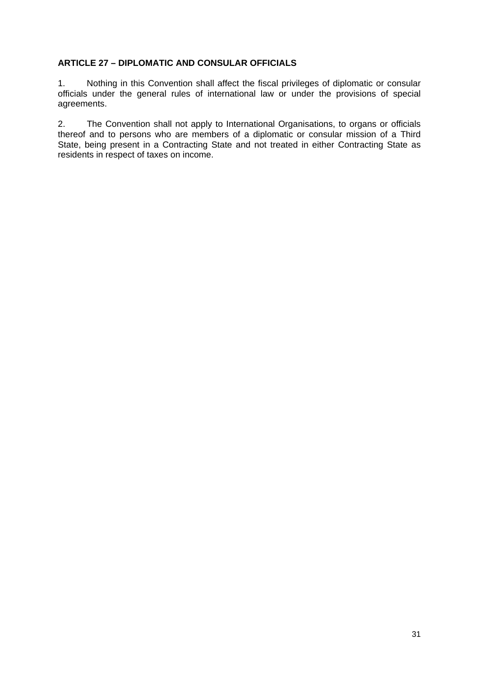### **ARTICLE 27 – DIPLOMATIC AND CONSULAR OFFICIALS**

1. Nothing in this Convention shall affect the fiscal privileges of diplomatic or consular officials under the general rules of international law or under the provisions of special agreements.

2. The Convention shall not apply to International Organisations, to organs or officials thereof and to persons who are members of a diplomatic or consular mission of a Third State, being present in a Contracting State and not treated in either Contracting State as residents in respect of taxes on income.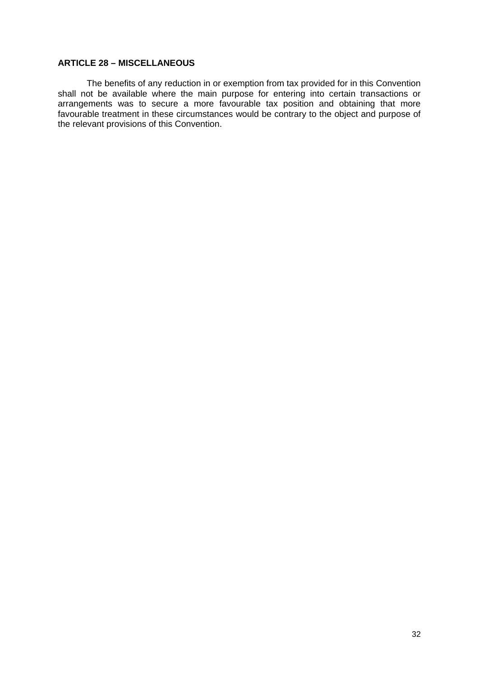#### **ARTICLE 28 – MISCELLANEOUS**

The benefits of any reduction in or exemption from tax provided for in this Convention shall not be available where the main purpose for entering into certain transactions or arrangements was to secure a more favourable tax position and obtaining that more favourable treatment in these circumstances would be contrary to the object and purpose of the relevant provisions of this Convention.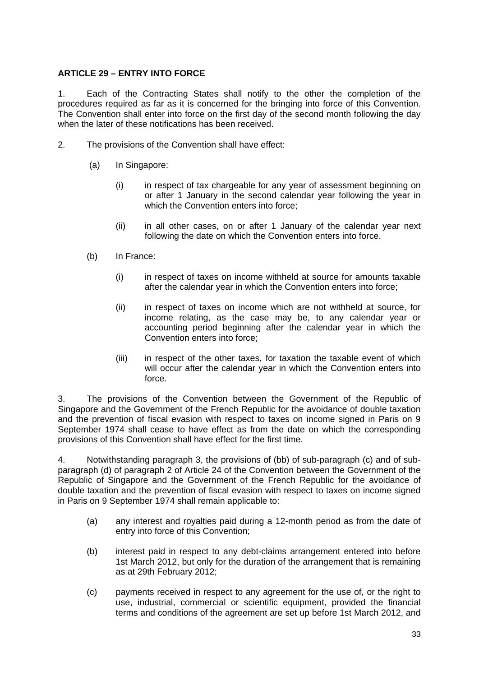# **ARTICLE 29 – ENTRY INTO FORCE**

1. Each of the Contracting States shall notify to the other the completion of the procedures required as far as it is concerned for the bringing into force of this Convention. The Convention shall enter into force on the first day of the second month following the day when the later of these notifications has been received.

- 2. The provisions of the Convention shall have effect:
	- (a) In Singapore:
		- (i) in respect of tax chargeable for any year of assessment beginning on or after 1 January in the second calendar year following the year in which the Convention enters into force;
		- (ii) in all other cases, on or after 1 January of the calendar year next following the date on which the Convention enters into force.
	- (b) In France:
		- (i) in respect of taxes on income withheld at source for amounts taxable after the calendar year in which the Convention enters into force;
		- (ii) in respect of taxes on income which are not withheld at source, for income relating, as the case may be, to any calendar year or accounting period beginning after the calendar year in which the Convention enters into force;
		- (iii) in respect of the other taxes, for taxation the taxable event of which will occur after the calendar year in which the Convention enters into force.

3. The provisions of the Convention between the Government of the Republic of Singapore and the Government of the French Republic for the avoidance of double taxation and the prevention of fiscal evasion with respect to taxes on income signed in Paris on 9 September 1974 shall cease to have effect as from the date on which the corresponding provisions of this Convention shall have effect for the first time.

4. Notwithstanding paragraph 3, the provisions of (bb) of sub-paragraph (c) and of subparagraph (d) of paragraph 2 of Article 24 of the Convention between the Government of the Republic of Singapore and the Government of the French Republic for the avoidance of double taxation and the prevention of fiscal evasion with respect to taxes on income signed in Paris on 9 September 1974 shall remain applicable to:

- (a) any interest and royalties paid during a 12-month period as from the date of entry into force of this Convention;
- (b) interest paid in respect to any debt-claims arrangement entered into before 1st March 2012, but only for the duration of the arrangement that is remaining as at 29th February 2012;
- (c) payments received in respect to any agreement for the use of, or the right to use, industrial, commercial or scientific equipment, provided the financial terms and conditions of the agreement are set up before 1st March 2012, and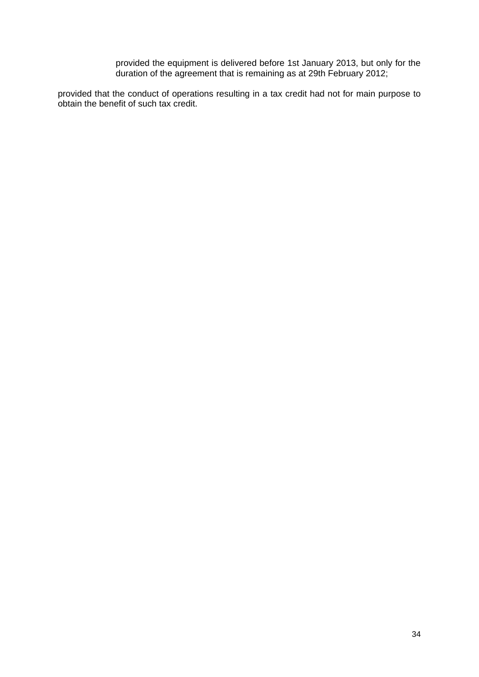provided the equipment is delivered before 1st January 2013, but only for the duration of the agreement that is remaining as at 29th February 2012;

provided that the conduct of operations resulting in a tax credit had not for main purpose to obtain the benefit of such tax credit.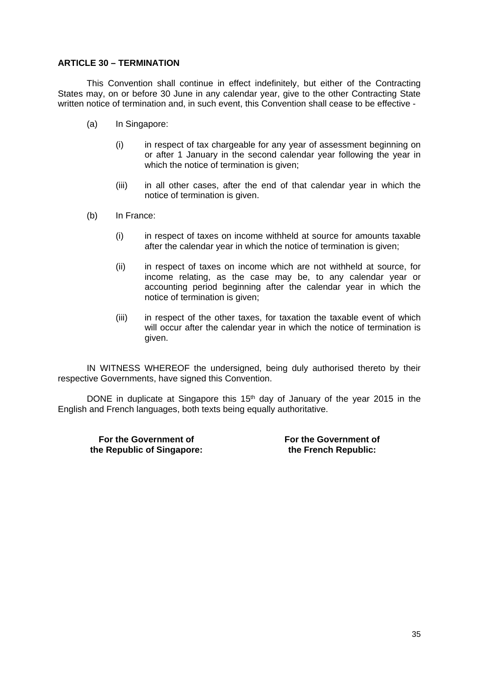#### **ARTICLE 30 – TERMINATION**

This Convention shall continue in effect indefinitely, but either of the Contracting States may, on or before 30 June in any calendar year, give to the other Contracting State written notice of termination and, in such event, this Convention shall cease to be effective -

- (a) In Singapore:
	- (i) in respect of tax chargeable for any year of assessment beginning on or after 1 January in the second calendar year following the year in which the notice of termination is given;
	- (iii) in all other cases, after the end of that calendar year in which the notice of termination is given.
- (b) In France:
	- (i) in respect of taxes on income withheld at source for amounts taxable after the calendar year in which the notice of termination is given;
	- (ii) in respect of taxes on income which are not withheld at source, for income relating, as the case may be, to any calendar year or accounting period beginning after the calendar year in which the notice of termination is given;
	- (iii) in respect of the other taxes, for taxation the taxable event of which will occur after the calendar year in which the notice of termination is given.

IN WITNESS WHEREOF the undersigned, being duly authorised thereto by their respective Governments, have signed this Convention.

DONE in duplicate at Singapore this  $15<sup>th</sup>$  day of January of the year 2015 in the English and French languages, both texts being equally authoritative.

**For the Government of the Republic of Singapore:** **For the Government of the French Republic:**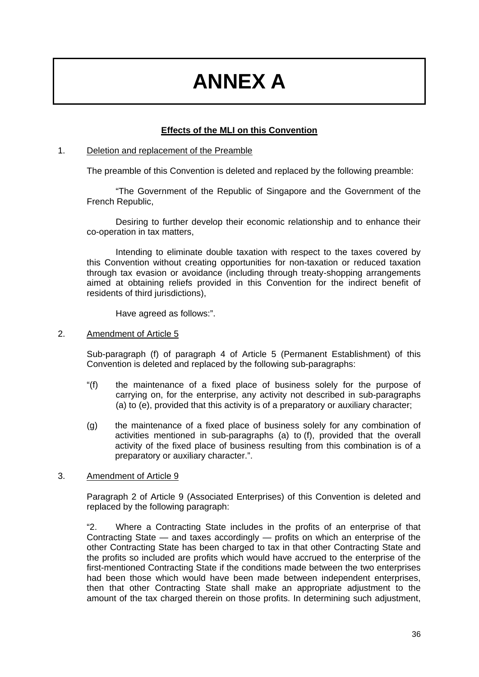# **ANNEX A**

# **Effects of the MLI on this Convention**

#### 1. Deletion and replacement of the Preamble

The preamble of this Convention is deleted and replaced by the following preamble:

"The Government of the Republic of Singapore and the Government of the French Republic,

Desiring to further develop their economic relationship and to enhance their co-operation in tax matters,

Intending to eliminate double taxation with respect to the taxes covered by this Convention without creating opportunities for non-taxation or reduced taxation through tax evasion or avoidance (including through treaty-shopping arrangements aimed at obtaining reliefs provided in this Convention for the indirect benefit of residents of third jurisdictions),

Have agreed as follows:".

#### 2. Amendment of Article 5

Sub-paragraph (f) of paragraph 4 of Article 5 (Permanent Establishment) of this Convention is deleted and replaced by the following sub-paragraphs:

- "(f) the maintenance of a fixed place of business solely for the purpose of carrying on, for the enterprise, any activity not described in sub-paragraphs (a) to (e), provided that this activity is of a preparatory or auxiliary character;
- (g) the maintenance of a fixed place of business solely for any combination of activities mentioned in sub-paragraphs (a) to (f), provided that the overall activity of the fixed place of business resulting from this combination is of a preparatory or auxiliary character.".

#### 3. Amendment of Article 9

Paragraph 2 of Article 9 (Associated Enterprises) of this Convention is deleted and replaced by the following paragraph:

"2. Where a Contracting State includes in the profits of an enterprise of that Contracting State — and taxes accordingly — profits on which an enterprise of the other Contracting State has been charged to tax in that other Contracting State and the profits so included are profits which would have accrued to the enterprise of the first-mentioned Contracting State if the conditions made between the two enterprises had been those which would have been made between independent enterprises, then that other Contracting State shall make an appropriate adjustment to the amount of the tax charged therein on those profits. In determining such adjustment,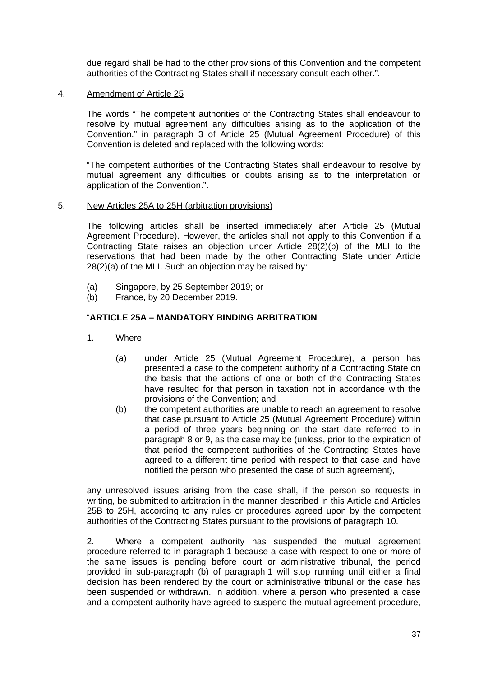due regard shall be had to the other provisions of this Convention and the competent authorities of the Contracting States shall if necessary consult each other.".

#### 4. Amendment of Article 25

The words "The competent authorities of the Contracting States shall endeavour to resolve by mutual agreement any difficulties arising as to the application of the Convention." in paragraph 3 of Article 25 (Mutual Agreement Procedure) of this Convention is deleted and replaced with the following words:

"The competent authorities of the Contracting States shall endeavour to resolve by mutual agreement any difficulties or doubts arising as to the interpretation or application of the Convention.".

#### 5. New Articles 25A to 25H (arbitration provisions)

The following articles shall be inserted immediately after Article 25 (Mutual Agreement Procedure). However, the articles shall not apply to this Convention if a Contracting State raises an objection under Article 28(2)(b) of the MLI to the reservations that had been made by the other Contracting State under Article 28(2)(a) of the MLI. Such an objection may be raised by:

- (a) Singapore, by 25 September 2019; or
- (b) France, by 20 December 2019.

#### "**ARTICLE 25A – MANDATORY BINDING ARBITRATION**

- 1. Where:
	- (a) under Article 25 (Mutual Agreement Procedure), a person has presented a case to the competent authority of a Contracting State on the basis that the actions of one or both of the Contracting States have resulted for that person in taxation not in accordance with the provisions of the Convention; and
	- (b) the competent authorities are unable to reach an agreement to resolve that case pursuant to Article 25 (Mutual Agreement Procedure) within a period of three years beginning on the start date referred to in paragraph 8 or 9, as the case may be (unless, prior to the expiration of that period the competent authorities of the Contracting States have agreed to a different time period with respect to that case and have notified the person who presented the case of such agreement),

any unresolved issues arising from the case shall, if the person so requests in writing, be submitted to arbitration in the manner described in this Article and Articles 25B to 25H, according to any rules or procedures agreed upon by the competent authorities of the Contracting States pursuant to the provisions of paragraph 10.

2. Where a competent authority has suspended the mutual agreement procedure referred to in paragraph 1 because a case with respect to one or more of the same issues is pending before court or administrative tribunal, the period provided in sub-paragraph (b) of paragraph 1 will stop running until either a final decision has been rendered by the court or administrative tribunal or the case has been suspended or withdrawn. In addition, where a person who presented a case and a competent authority have agreed to suspend the mutual agreement procedure,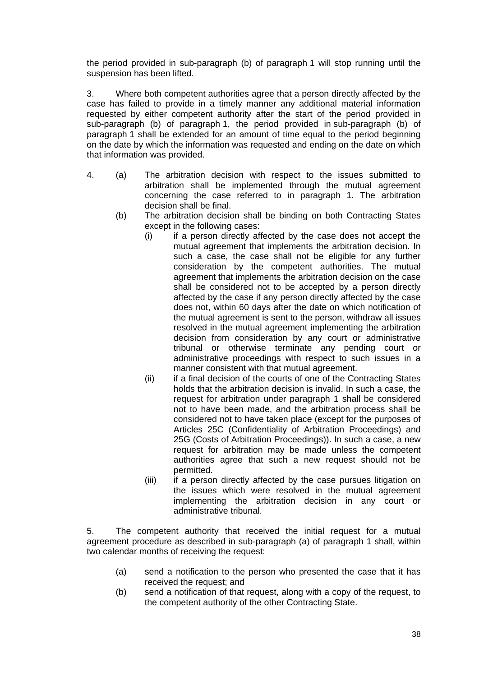the period provided in sub-paragraph (b) of paragraph 1 will stop running until the suspension has been lifted.

3. Where both competent authorities agree that a person directly affected by the case has failed to provide in a timely manner any additional material information requested by either competent authority after the start of the period provided in sub-paragraph (b) of paragraph 1, the period provided in sub-paragraph (b) of paragraph 1 shall be extended for an amount of time equal to the period beginning on the date by which the information was requested and ending on the date on which that information was provided.

- 4. (a) The arbitration decision with respect to the issues submitted to arbitration shall be implemented through the mutual agreement concerning the case referred to in paragraph 1. The arbitration decision shall be final.
	- (b) The arbitration decision shall be binding on both Contracting States except in the following cases:
		- (i) if a person directly affected by the case does not accept the mutual agreement that implements the arbitration decision. In such a case, the case shall not be eligible for any further consideration by the competent authorities. The mutual agreement that implements the arbitration decision on the case shall be considered not to be accepted by a person directly affected by the case if any person directly affected by the case does not, within 60 days after the date on which notification of the mutual agreement is sent to the person, withdraw all issues resolved in the mutual agreement implementing the arbitration decision from consideration by any court or administrative tribunal or otherwise terminate any pending court or administrative proceedings with respect to such issues in a manner consistent with that mutual agreement.
		- (ii) if a final decision of the courts of one of the Contracting States holds that the arbitration decision is invalid. In such a case, the request for arbitration under paragraph 1 shall be considered not to have been made, and the arbitration process shall be considered not to have taken place (except for the purposes of Articles 25C (Confidentiality of Arbitration Proceedings) and 25G (Costs of Arbitration Proceedings)). In such a case, a new request for arbitration may be made unless the competent authorities agree that such a new request should not be permitted.
		- (iii) if a person directly affected by the case pursues litigation on the issues which were resolved in the mutual agreement implementing the arbitration decision in any court or administrative tribunal.

5. The competent authority that received the initial request for a mutual agreement procedure as described in sub-paragraph (a) of paragraph 1 shall, within two calendar months of receiving the request:

- (a) send a notification to the person who presented the case that it has received the request; and
- (b) send a notification of that request, along with a copy of the request, to the competent authority of the other Contracting State.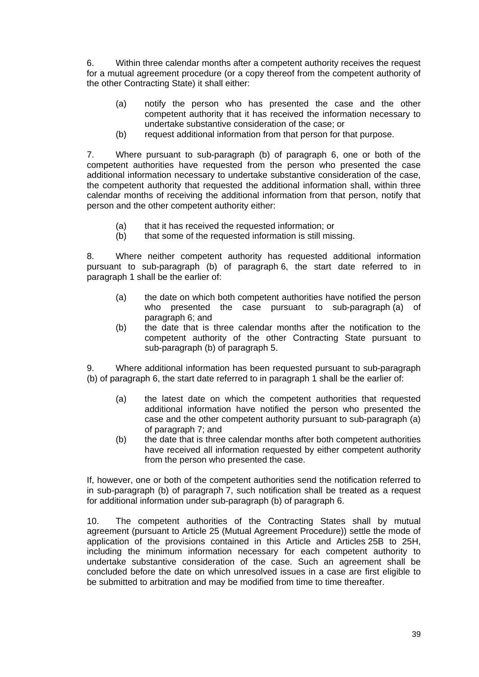6. Within three calendar months after a competent authority receives the request for a mutual agreement procedure (or a copy thereof from the competent authority of the other Contracting State) it shall either:

- (a) notify the person who has presented the case and the other competent authority that it has received the information necessary to undertake substantive consideration of the case; or
- (b) request additional information from that person for that purpose.

7. Where pursuant to sub-paragraph (b) of paragraph 6, one or both of the competent authorities have requested from the person who presented the case additional information necessary to undertake substantive consideration of the case, the competent authority that requested the additional information shall, within three calendar months of receiving the additional information from that person, notify that person and the other competent authority either:

- (a) that it has received the requested information; or
- (b) that some of the requested information is still missing.

8. Where neither competent authority has requested additional information pursuant to sub-paragraph (b) of paragraph 6, the start date referred to in paragraph 1 shall be the earlier of:

- (a) the date on which both competent authorities have notified the person who presented the case pursuant to sub-paragraph (a) of paragraph 6; and
- (b) the date that is three calendar months after the notification to the competent authority of the other Contracting State pursuant to sub-paragraph (b) of paragraph 5.

9. Where additional information has been requested pursuant to sub-paragraph (b) of paragraph 6, the start date referred to in paragraph 1 shall be the earlier of:

- (a) the latest date on which the competent authorities that requested additional information have notified the person who presented the case and the other competent authority pursuant to sub-paragraph (a) of paragraph 7; and
- (b) the date that is three calendar months after both competent authorities have received all information requested by either competent authority from the person who presented the case.

If, however, one or both of the competent authorities send the notification referred to in sub-paragraph (b) of paragraph 7, such notification shall be treated as a request for additional information under sub-paragraph (b) of paragraph 6.

10. The competent authorities of the Contracting States shall by mutual agreement (pursuant to Article 25 (Mutual Agreement Procedure)) settle the mode of application of the provisions contained in this Article and Articles 25B to 25H, including the minimum information necessary for each competent authority to undertake substantive consideration of the case. Such an agreement shall be concluded before the date on which unresolved issues in a case are first eligible to be submitted to arbitration and may be modified from time to time thereafter.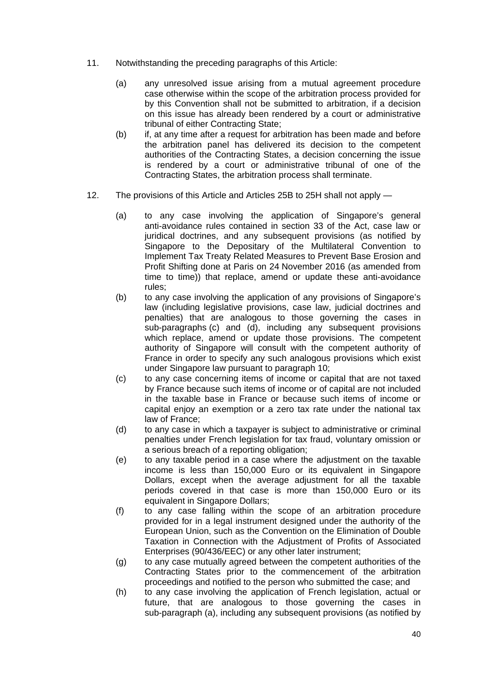- 11. Notwithstanding the preceding paragraphs of this Article:
	- (a) any unresolved issue arising from a mutual agreement procedure case otherwise within the scope of the arbitration process provided for by this Convention shall not be submitted to arbitration, if a decision on this issue has already been rendered by a court or administrative tribunal of either Contracting State;
	- (b) if, at any time after a request for arbitration has been made and before the arbitration panel has delivered its decision to the competent authorities of the Contracting States, a decision concerning the issue is rendered by a court or administrative tribunal of one of the Contracting States, the arbitration process shall terminate.
- 12. The provisions of this Article and Articles 25B to 25H shall not apply
	- (a) to any case involving the application of Singapore's general anti-avoidance rules contained in section 33 of the Act, case law or juridical doctrines, and any subsequent provisions (as notified by Singapore to the Depositary of the Multilateral Convention to Implement Tax Treaty Related Measures to Prevent Base Erosion and Profit Shifting done at Paris on 24 November 2016 (as amended from time to time)) that replace, amend or update these anti-avoidance rules;
	- (b) to any case involving the application of any provisions of Singapore's law (including legislative provisions, case law, judicial doctrines and penalties) that are analogous to those governing the cases in sub-paragraphs (c) and (d), including any subsequent provisions which replace, amend or update those provisions. The competent authority of Singapore will consult with the competent authority of France in order to specify any such analogous provisions which exist under Singapore law pursuant to paragraph 10;
	- (c) to any case concerning items of income or capital that are not taxed by France because such items of income or of capital are not included in the taxable base in France or because such items of income or capital enjoy an exemption or a zero tax rate under the national tax law of France;
	- (d) to any case in which a taxpayer is subject to administrative or criminal penalties under French legislation for tax fraud, voluntary omission or a serious breach of a reporting obligation;
	- (e) to any taxable period in a case where the adjustment on the taxable income is less than 150,000 Euro or its equivalent in Singapore Dollars, except when the average adjustment for all the taxable periods covered in that case is more than 150,000 Euro or its equivalent in Singapore Dollars;
	- (f) to any case falling within the scope of an arbitration procedure provided for in a legal instrument designed under the authority of the European Union, such as the Convention on the Elimination of Double Taxation in Connection with the Adjustment of Profits of Associated Enterprises (90/436/EEC) or any other later instrument;
	- (g) to any case mutually agreed between the competent authorities of the Contracting States prior to the commencement of the arbitration proceedings and notified to the person who submitted the case; and
	- (h) to any case involving the application of French legislation, actual or future, that are analogous to those governing the cases in sub-paragraph (a), including any subsequent provisions (as notified by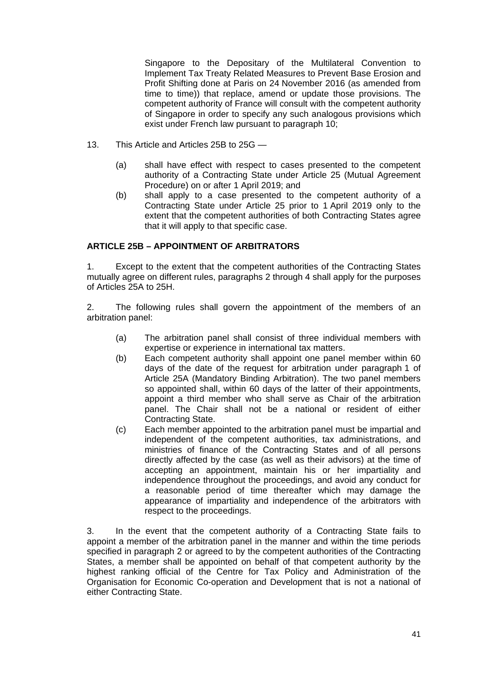Singapore to the Depositary of the Multilateral Convention to Implement Tax Treaty Related Measures to Prevent Base Erosion and Profit Shifting done at Paris on 24 November 2016 (as amended from time to time)) that replace, amend or update those provisions. The competent authority of France will consult with the competent authority of Singapore in order to specify any such analogous provisions which exist under French law pursuant to paragraph 10;

- 13. This Article and Articles 25B to 25G
	- (a) shall have effect with respect to cases presented to the competent authority of a Contracting State under Article 25 (Mutual Agreement Procedure) on or after 1 April 2019; and
	- (b) shall apply to a case presented to the competent authority of a Contracting State under Article 25 prior to 1 April 2019 only to the extent that the competent authorities of both Contracting States agree that it will apply to that specific case.

# **ARTICLE 25B – APPOINTMENT OF ARBITRATORS**

1. Except to the extent that the competent authorities of the Contracting States mutually agree on different rules, paragraphs 2 through 4 shall apply for the purposes of Articles 25A to 25H.

2. The following rules shall govern the appointment of the members of an arbitration panel:

- (a) The arbitration panel shall consist of three individual members with expertise or experience in international tax matters.
- (b) Each competent authority shall appoint one panel member within 60 days of the date of the request for arbitration under paragraph 1 of Article 25A (Mandatory Binding Arbitration). The two panel members so appointed shall, within 60 days of the latter of their appointments, appoint a third member who shall serve as Chair of the arbitration panel. The Chair shall not be a national or resident of either Contracting State.
- (c) Each member appointed to the arbitration panel must be impartial and independent of the competent authorities, tax administrations, and ministries of finance of the Contracting States and of all persons directly affected by the case (as well as their advisors) at the time of accepting an appointment, maintain his or her impartiality and independence throughout the proceedings, and avoid any conduct for a reasonable period of time thereafter which may damage the appearance of impartiality and independence of the arbitrators with respect to the proceedings.

3. In the event that the competent authority of a Contracting State fails to appoint a member of the arbitration panel in the manner and within the time periods specified in paragraph 2 or agreed to by the competent authorities of the Contracting States, a member shall be appointed on behalf of that competent authority by the highest ranking official of the Centre for Tax Policy and Administration of the Organisation for Economic Co-operation and Development that is not a national of either Contracting State.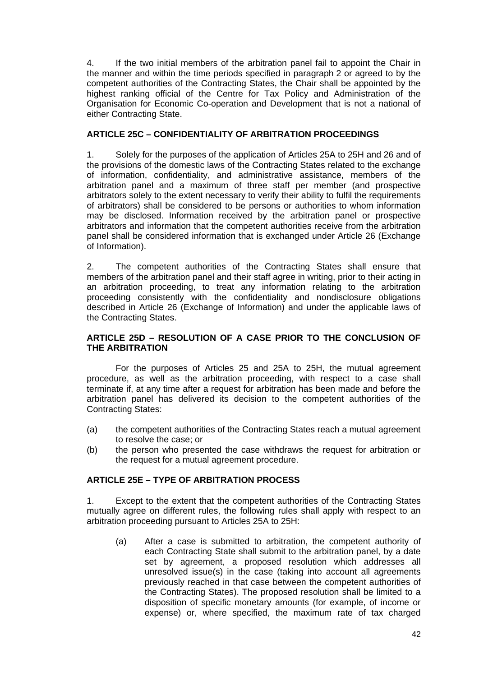4. If the two initial members of the arbitration panel fail to appoint the Chair in the manner and within the time periods specified in paragraph 2 or agreed to by the competent authorities of the Contracting States, the Chair shall be appointed by the highest ranking official of the Centre for Tax Policy and Administration of the Organisation for Economic Co-operation and Development that is not a national of either Contracting State.

#### **ARTICLE 25C – CONFIDENTIALITY OF ARBITRATION PROCEEDINGS**

1. Solely for the purposes of the application of Articles 25A to 25H and 26 and of the provisions of the domestic laws of the Contracting States related to the exchange of information, confidentiality, and administrative assistance, members of the arbitration panel and a maximum of three staff per member (and prospective arbitrators solely to the extent necessary to verify their ability to fulfil the requirements of arbitrators) shall be considered to be persons or authorities to whom information may be disclosed. Information received by the arbitration panel or prospective arbitrators and information that the competent authorities receive from the arbitration panel shall be considered information that is exchanged under Article 26 (Exchange of Information).

2. The competent authorities of the Contracting States shall ensure that members of the arbitration panel and their staff agree in writing, prior to their acting in an arbitration proceeding, to treat any information relating to the arbitration proceeding consistently with the confidentiality and nondisclosure obligations described in Article 26 (Exchange of Information) and under the applicable laws of the Contracting States.

#### **ARTICLE 25D – RESOLUTION OF A CASE PRIOR TO THE CONCLUSION OF THE ARBITRATION**

For the purposes of Articles 25 and 25A to 25H, the mutual agreement procedure, as well as the arbitration proceeding, with respect to a case shall terminate if, at any time after a request for arbitration has been made and before the arbitration panel has delivered its decision to the competent authorities of the Contracting States:

- (a) the competent authorities of the Contracting States reach a mutual agreement to resolve the case; or
- (b) the person who presented the case withdraws the request for arbitration or the request for a mutual agreement procedure.

#### **ARTICLE 25E – TYPE OF ARBITRATION PROCESS**

1. Except to the extent that the competent authorities of the Contracting States mutually agree on different rules, the following rules shall apply with respect to an arbitration proceeding pursuant to Articles 25A to 25H:

(a) After a case is submitted to arbitration, the competent authority of each Contracting State shall submit to the arbitration panel, by a date set by agreement, a proposed resolution which addresses all unresolved issue(s) in the case (taking into account all agreements previously reached in that case between the competent authorities of the Contracting States). The proposed resolution shall be limited to a disposition of specific monetary amounts (for example, of income or expense) or, where specified, the maximum rate of tax charged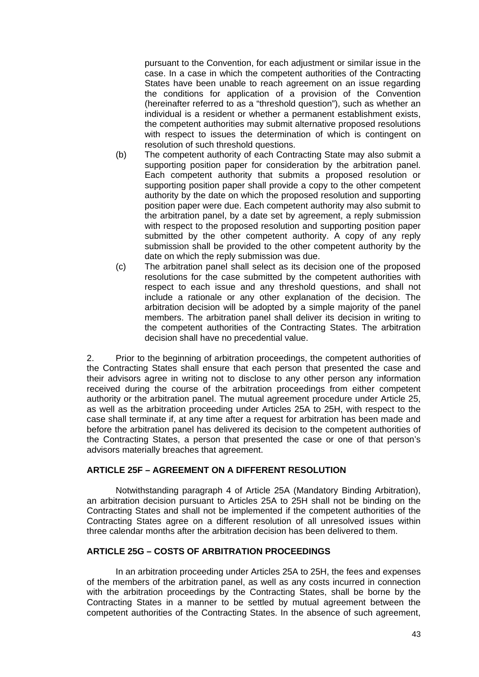pursuant to the Convention, for each adjustment or similar issue in the case. In a case in which the competent authorities of the Contracting States have been unable to reach agreement on an issue regarding the conditions for application of a provision of the Convention (hereinafter referred to as a "threshold question"), such as whether an individual is a resident or whether a permanent establishment exists, the competent authorities may submit alternative proposed resolutions with respect to issues the determination of which is contingent on resolution of such threshold questions.

- (b) The competent authority of each Contracting State may also submit a supporting position paper for consideration by the arbitration panel. Each competent authority that submits a proposed resolution or supporting position paper shall provide a copy to the other competent authority by the date on which the proposed resolution and supporting position paper were due. Each competent authority may also submit to the arbitration panel, by a date set by agreement, a reply submission with respect to the proposed resolution and supporting position paper submitted by the other competent authority. A copy of any reply submission shall be provided to the other competent authority by the date on which the reply submission was due.
- (c) The arbitration panel shall select as its decision one of the proposed resolutions for the case submitted by the competent authorities with respect to each issue and any threshold questions, and shall not include a rationale or any other explanation of the decision. The arbitration decision will be adopted by a simple majority of the panel members. The arbitration panel shall deliver its decision in writing to the competent authorities of the Contracting States. The arbitration decision shall have no precedential value.

2. Prior to the beginning of arbitration proceedings, the competent authorities of the Contracting States shall ensure that each person that presented the case and their advisors agree in writing not to disclose to any other person any information received during the course of the arbitration proceedings from either competent authority or the arbitration panel. The mutual agreement procedure under Article 25, as well as the arbitration proceeding under Articles 25A to 25H, with respect to the case shall terminate if, at any time after a request for arbitration has been made and before the arbitration panel has delivered its decision to the competent authorities of the Contracting States, a person that presented the case or one of that person's advisors materially breaches that agreement.

#### **ARTICLE 25F – AGREEMENT ON A DIFFERENT RESOLUTION**

Notwithstanding paragraph 4 of Article 25A (Mandatory Binding Arbitration), an arbitration decision pursuant to Articles 25A to 25H shall not be binding on the Contracting States and shall not be implemented if the competent authorities of the Contracting States agree on a different resolution of all unresolved issues within three calendar months after the arbitration decision has been delivered to them.

#### **ARTICLE 25G – COSTS OF ARBITRATION PROCEEDINGS**

In an arbitration proceeding under Articles 25A to 25H, the fees and expenses of the members of the arbitration panel, as well as any costs incurred in connection with the arbitration proceedings by the Contracting States, shall be borne by the Contracting States in a manner to be settled by mutual agreement between the competent authorities of the Contracting States. In the absence of such agreement,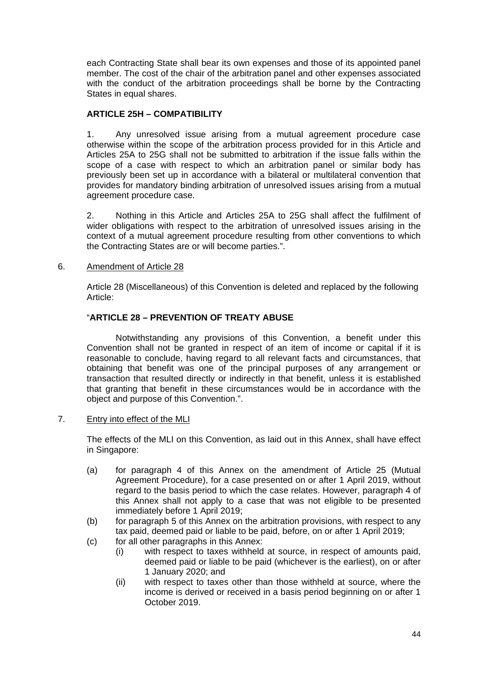each Contracting State shall bear its own expenses and those of its appointed panel member. The cost of the chair of the arbitration panel and other expenses associated with the conduct of the arbitration proceedings shall be borne by the Contracting States in equal shares.

# **ARTICLE 25H – COMPATIBILITY**

1. Any unresolved issue arising from a mutual agreement procedure case otherwise within the scope of the arbitration process provided for in this Article and Articles 25A to 25G shall not be submitted to arbitration if the issue falls within the scope of a case with respect to which an arbitration panel or similar body has previously been set up in accordance with a bilateral or multilateral convention that provides for mandatory binding arbitration of unresolved issues arising from a mutual agreement procedure case.

2. Nothing in this Article and Articles 25A to 25G shall affect the fulfilment of wider obligations with respect to the arbitration of unresolved issues arising in the context of a mutual agreement procedure resulting from other conventions to which the Contracting States are or will become parties.".

#### 6. Amendment of Article 28

Article 28 (Miscellaneous) of this Convention is deleted and replaced by the following Article:

# "**ARTICLE 28 – PREVENTION OF TREATY ABUSE**

Notwithstanding any provisions of this Convention, a benefit under this Convention shall not be granted in respect of an item of income or capital if it is reasonable to conclude, having regard to all relevant facts and circumstances, that obtaining that benefit was one of the principal purposes of any arrangement or transaction that resulted directly or indirectly in that benefit, unless it is established that granting that benefit in these circumstances would be in accordance with the object and purpose of this Convention.".

#### 7. Entry into effect of the MLI

The effects of the MLI on this Convention, as laid out in this Annex, shall have effect in Singapore:

- (a) for paragraph 4 of this Annex on the amendment of Article 25 (Mutual Agreement Procedure), for a case presented on or after 1 April 2019, without regard to the basis period to which the case relates. However, paragraph 4 of this Annex shall not apply to a case that was not eligible to be presented immediately before 1 April 2019;
- (b) for paragraph 5 of this Annex on the arbitration provisions, with respect to any tax paid, deemed paid or liable to be paid, before, on or after 1 April 2019;
- (c) for all other paragraphs in this Annex:
	- (i) with respect to taxes withheld at source, in respect of amounts paid, deemed paid or liable to be paid (whichever is the earliest), on or after 1 January 2020; and
	- (ii) with respect to taxes other than those withheld at source, where the income is derived or received in a basis period beginning on or after 1 October 2019.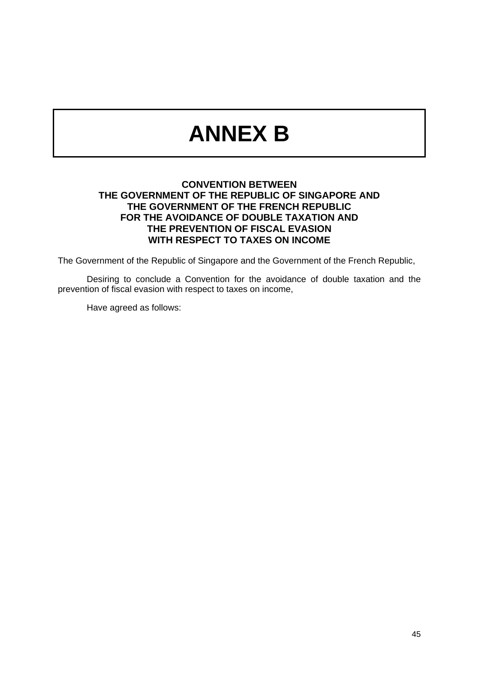# **ANNEX B**

# **CONVENTION BETWEEN THE GOVERNMENT OF THE REPUBLIC OF SINGAPORE AND THE GOVERNMENT OF THE FRENCH REPUBLIC FOR THE AVOIDANCE OF DOUBLE TAXATION AND THE PREVENTION OF FISCAL EVASION WITH RESPECT TO TAXES ON INCOME**

The Government of the Republic of Singapore and the Government of the French Republic,

Desiring to conclude a Convention for the avoidance of double taxation and the prevention of fiscal evasion with respect to taxes on income,

Have agreed as follows: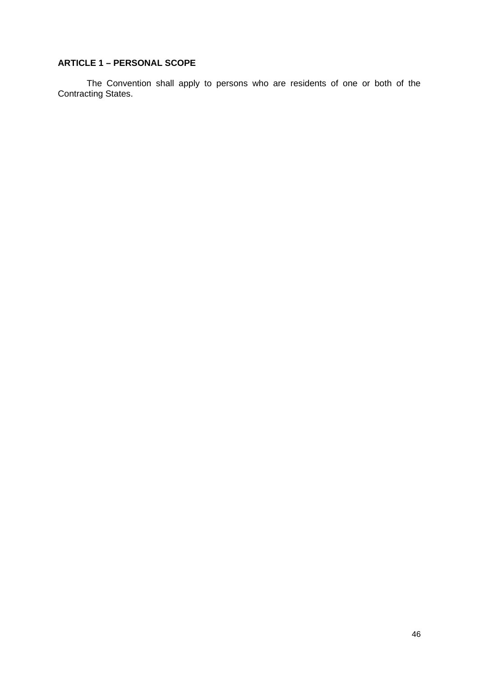# **ARTICLE 1 – PERSONAL SCOPE**

The Convention shall apply to persons who are residents of one or both of the Contracting States.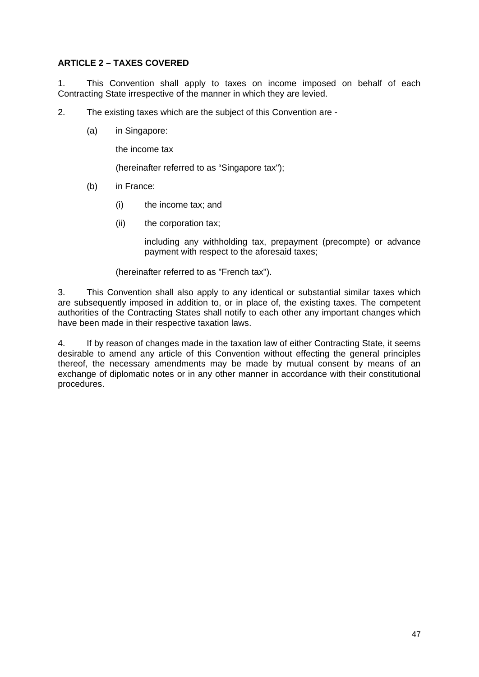# **ARTICLE 2 – TAXES COVERED**

1. This Convention shall apply to taxes on income imposed on behalf of each Contracting State irrespective of the manner in which they are levied.

2. The existing taxes which are the subject of this Convention are -

(a) in Singapore:

the income tax

(hereinafter referred to as "Singapore tax");

- (b) in France:
	- (i) the income tax; and
	- (ii) the corporation tax;

including any withholding tax, prepayment (precompte) or advance payment with respect to the aforesaid taxes;

(hereinafter referred to as "French tax").

3. This Convention shall also apply to any identical or substantial similar taxes which are subsequently imposed in addition to, or in place of, the existing taxes. The competent authorities of the Contracting States shall notify to each other any important changes which have been made in their respective taxation laws.

4. If by reason of changes made in the taxation law of either Contracting State, it seems desirable to amend any article of this Convention without effecting the general principles thereof, the necessary amendments may be made by mutual consent by means of an exchange of diplomatic notes or in any other manner in accordance with their constitutional procedures.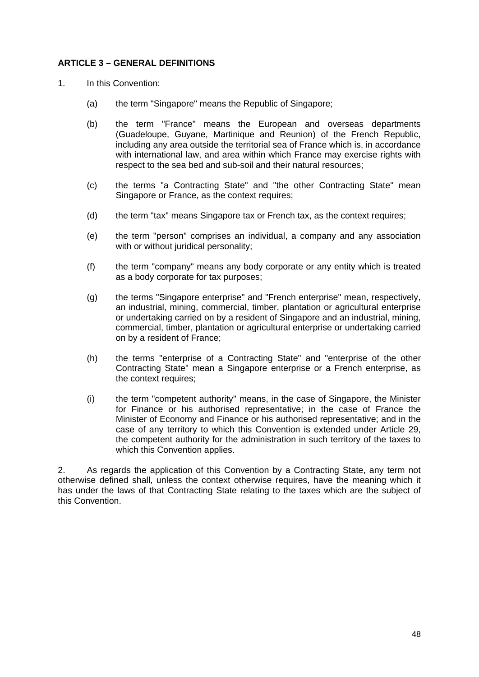# **ARTICLE 3 – GENERAL DEFINITIONS**

- 1. In this Convention:
	- (a) the term "Singapore" means the Republic of Singapore;
	- (b) the term "France" means the European and overseas departments (Guadeloupe, Guyane, Martinique and Reunion) of the French Republic, including any area outside the territorial sea of France which is, in accordance with international law, and area within which France may exercise rights with respect to the sea bed and sub-soil and their natural resources;
	- (c) the terms "a Contracting State" and "the other Contracting State" mean Singapore or France, as the context requires;
	- (d) the term "tax" means Singapore tax or French tax, as the context requires;
	- (e) the term "person" comprises an individual, a company and any association with or without juridical personality;
	- (f) the term "company" means any body corporate or any entity which is treated as a body corporate for tax purposes;
	- (g) the terms "Singapore enterprise" and "French enterprise" mean, respectively, an industrial, mining, commercial, timber, plantation or agricultural enterprise or undertaking carried on by a resident of Singapore and an industrial, mining, commercial, timber, plantation or agricultural enterprise or undertaking carried on by a resident of France;
	- (h) the terms "enterprise of a Contracting State" and "enterprise of the other Contracting State" mean a Singapore enterprise or a French enterprise, as the context requires;
	- (i) the term "competent authority" means, in the case of Singapore, the Minister for Finance or his authorised representative; in the case of France the Minister of Economy and Finance or his authorised representative; and in the case of any territory to which this Convention is extended under Article 29, the competent authority for the administration in such territory of the taxes to which this Convention applies.

2. As regards the application of this Convention by a Contracting State, any term not otherwise defined shall, unless the context otherwise requires, have the meaning which it has under the laws of that Contracting State relating to the taxes which are the subject of this Convention.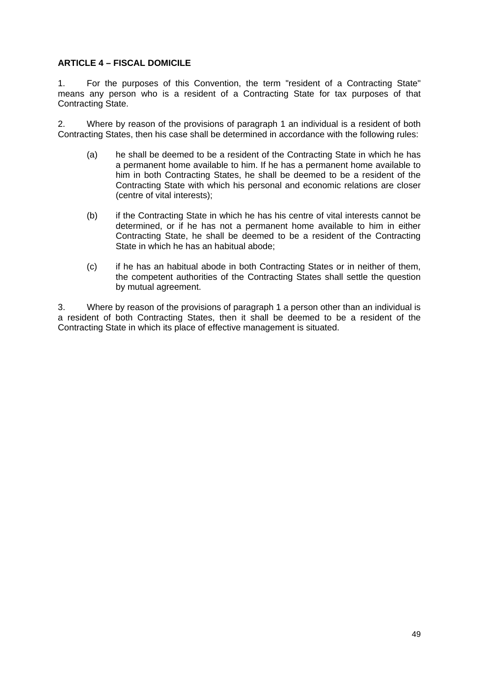#### **ARTICLE 4 – FISCAL DOMICILE**

1. For the purposes of this Convention, the term "resident of a Contracting State" means any person who is a resident of a Contracting State for tax purposes of that Contracting State.

2. Where by reason of the provisions of paragraph 1 an individual is a resident of both Contracting States, then his case shall be determined in accordance with the following rules:

- (a) he shall be deemed to be a resident of the Contracting State in which he has a permanent home available to him. If he has a permanent home available to him in both Contracting States, he shall be deemed to be a resident of the Contracting State with which his personal and economic relations are closer (centre of vital interests);
- (b) if the Contracting State in which he has his centre of vital interests cannot be determined, or if he has not a permanent home available to him in either Contracting State, he shall be deemed to be a resident of the Contracting State in which he has an habitual abode;
- (c) if he has an habitual abode in both Contracting States or in neither of them, the competent authorities of the Contracting States shall settle the question by mutual agreement.

3. Where by reason of the provisions of paragraph 1 a person other than an individual is a resident of both Contracting States, then it shall be deemed to be a resident of the Contracting State in which its place of effective management is situated.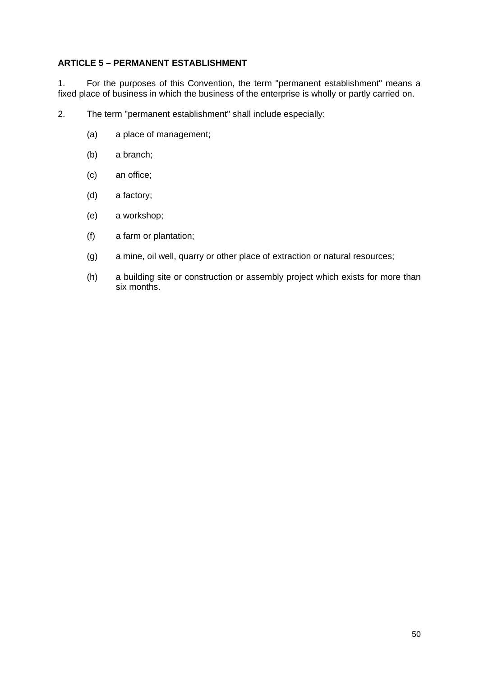#### **ARTICLE 5 – PERMANENT ESTABLISHMENT**

1. For the purposes of this Convention, the term "permanent establishment" means a fixed place of business in which the business of the enterprise is wholly or partly carried on.

- 2. The term "permanent establishment" shall include especially:
	- (a) a place of management;
	- (b) a branch;
	- (c) an office;
	- (d) a factory;
	- (e) a workshop;
	- (f) a farm or plantation;
	- (g) a mine, oil well, quarry or other place of extraction or natural resources;
	- (h) a building site or construction or assembly project which exists for more than six months.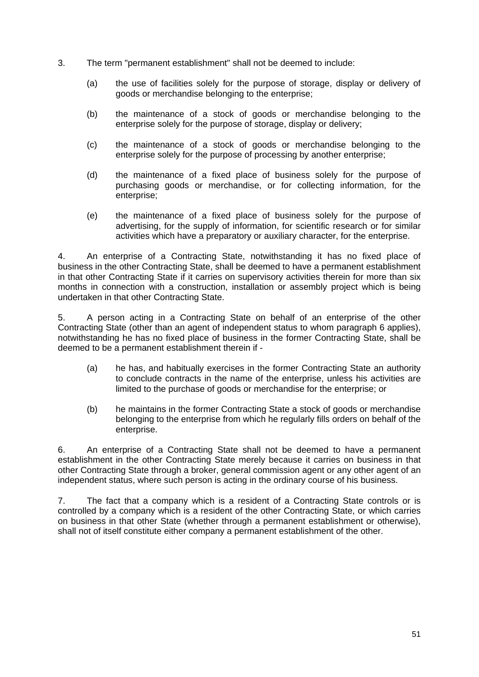- 3. The term "permanent establishment" shall not be deemed to include:
	- (a) the use of facilities solely for the purpose of storage, display or delivery of goods or merchandise belonging to the enterprise;
	- (b) the maintenance of a stock of goods or merchandise belonging to the enterprise solely for the purpose of storage, display or delivery;
	- (c) the maintenance of a stock of goods or merchandise belonging to the enterprise solely for the purpose of processing by another enterprise;
	- (d) the maintenance of a fixed place of business solely for the purpose of purchasing goods or merchandise, or for collecting information, for the enterprise;
	- (e) the maintenance of a fixed place of business solely for the purpose of advertising, for the supply of information, for scientific research or for similar activities which have a preparatory or auxiliary character, for the enterprise.

4. An enterprise of a Contracting State, notwithstanding it has no fixed place of business in the other Contracting State, shall be deemed to have a permanent establishment in that other Contracting State if it carries on supervisory activities therein for more than six months in connection with a construction, installation or assembly project which is being undertaken in that other Contracting State.

5. A person acting in a Contracting State on behalf of an enterprise of the other Contracting State (other than an agent of independent status to whom paragraph 6 applies), notwithstanding he has no fixed place of business in the former Contracting State, shall be deemed to be a permanent establishment therein if -

- (a) he has, and habitually exercises in the former Contracting State an authority to conclude contracts in the name of the enterprise, unless his activities are limited to the purchase of goods or merchandise for the enterprise; or
- (b) he maintains in the former Contracting State a stock of goods or merchandise belonging to the enterprise from which he regularly fills orders on behalf of the enterprise.

6. An enterprise of a Contracting State shall not be deemed to have a permanent establishment in the other Contracting State merely because it carries on business in that other Contracting State through a broker, general commission agent or any other agent of an independent status, where such person is acting in the ordinary course of his business.

7. The fact that a company which is a resident of a Contracting State controls or is controlled by a company which is a resident of the other Contracting State, or which carries on business in that other State (whether through a permanent establishment or otherwise), shall not of itself constitute either company a permanent establishment of the other.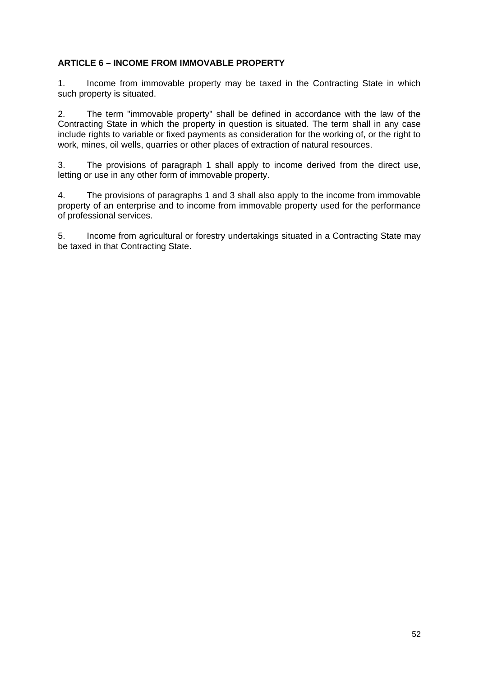#### **ARTICLE 6 – INCOME FROM IMMOVABLE PROPERTY**

1. Income from immovable property may be taxed in the Contracting State in which such property is situated.

2. The term "immovable property" shall be defined in accordance with the law of the Contracting State in which the property in question is situated. The term shall in any case include rights to variable or fixed payments as consideration for the working of, or the right to work, mines, oil wells, quarries or other places of extraction of natural resources.

3. The provisions of paragraph 1 shall apply to income derived from the direct use, letting or use in any other form of immovable property.

4. The provisions of paragraphs 1 and 3 shall also apply to the income from immovable property of an enterprise and to income from immovable property used for the performance of professional services.

5. Income from agricultural or forestry undertakings situated in a Contracting State may be taxed in that Contracting State.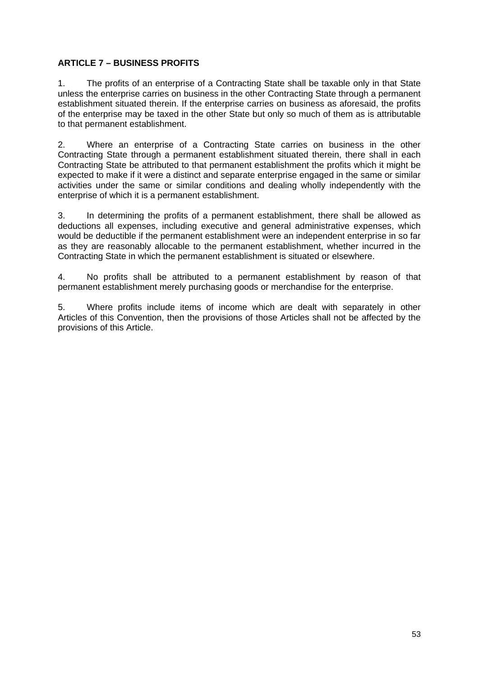#### **ARTICLE 7 – BUSINESS PROFITS**

1. The profits of an enterprise of a Contracting State shall be taxable only in that State unless the enterprise carries on business in the other Contracting State through a permanent establishment situated therein. If the enterprise carries on business as aforesaid, the profits of the enterprise may be taxed in the other State but only so much of them as is attributable to that permanent establishment.

2. Where an enterprise of a Contracting State carries on business in the other Contracting State through a permanent establishment situated therein, there shall in each Contracting State be attributed to that permanent establishment the profits which it might be expected to make if it were a distinct and separate enterprise engaged in the same or similar activities under the same or similar conditions and dealing wholly independently with the enterprise of which it is a permanent establishment.

3. In determining the profits of a permanent establishment, there shall be allowed as deductions all expenses, including executive and general administrative expenses, which would be deductible if the permanent establishment were an independent enterprise in so far as they are reasonably allocable to the permanent establishment, whether incurred in the Contracting State in which the permanent establishment is situated or elsewhere.

4. No profits shall be attributed to a permanent establishment by reason of that permanent establishment merely purchasing goods or merchandise for the enterprise.

5. Where profits include items of income which are dealt with separately in other Articles of this Convention, then the provisions of those Articles shall not be affected by the provisions of this Article.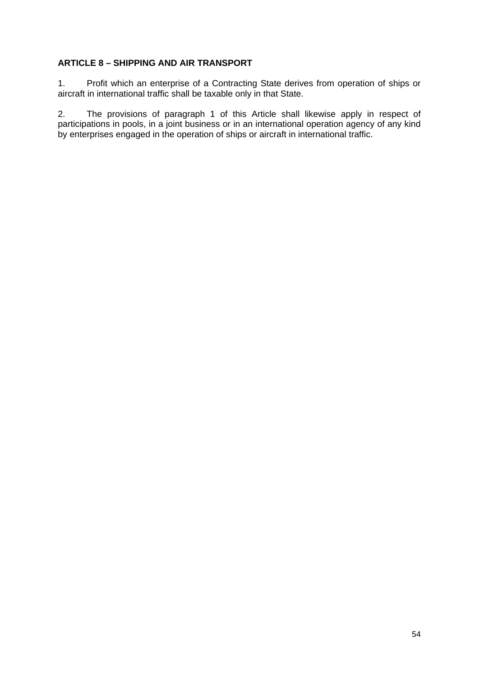# **ARTICLE 8 – SHIPPING AND AIR TRANSPORT**

1. Profit which an enterprise of a Contracting State derives from operation of ships or aircraft in international traffic shall be taxable only in that State.

2. The provisions of paragraph 1 of this Article shall likewise apply in respect of participations in pools, in a joint business or in an international operation agency of any kind by enterprises engaged in the operation of ships or aircraft in international traffic.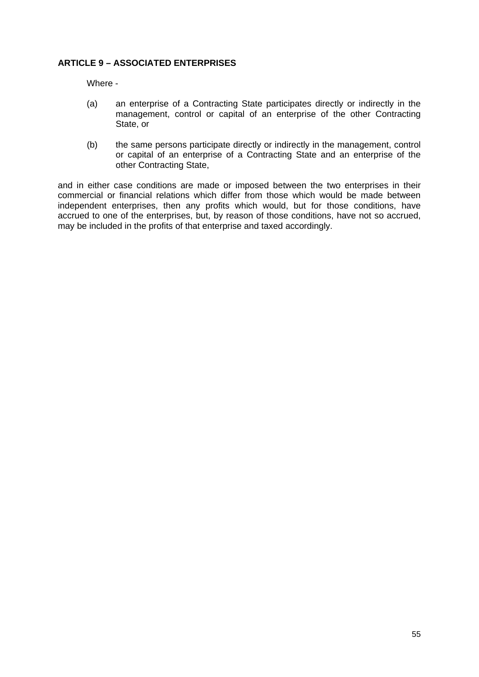# **ARTICLE 9 – ASSOCIATED ENTERPRISES**

Where -

- (a) an enterprise of a Contracting State participates directly or indirectly in the management, control or capital of an enterprise of the other Contracting State, or
- (b) the same persons participate directly or indirectly in the management, control or capital of an enterprise of a Contracting State and an enterprise of the other Contracting State,

and in either case conditions are made or imposed between the two enterprises in their commercial or financial relations which differ from those which would be made between independent enterprises, then any profits which would, but for those conditions, have accrued to one of the enterprises, but, by reason of those conditions, have not so accrued, may be included in the profits of that enterprise and taxed accordingly.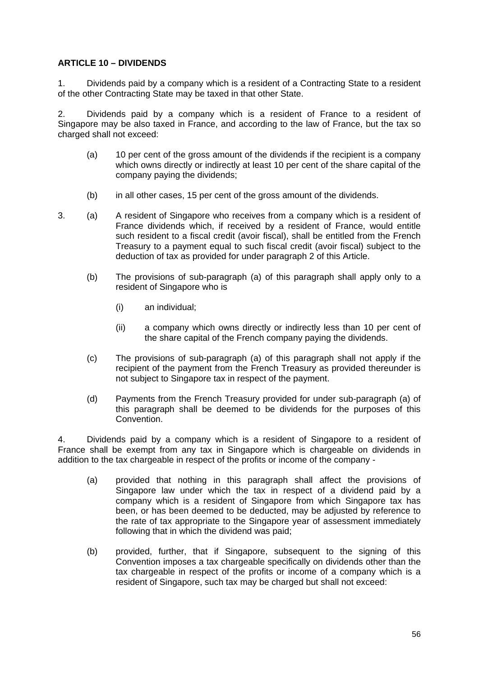#### **ARTICLE 10 – DIVIDENDS**

1. Dividends paid by a company which is a resident of a Contracting State to a resident of the other Contracting State may be taxed in that other State.

2. Dividends paid by a company which is a resident of France to a resident of Singapore may be also taxed in France, and according to the law of France, but the tax so charged shall not exceed:

- (a) 10 per cent of the gross amount of the dividends if the recipient is a company which owns directly or indirectly at least 10 per cent of the share capital of the company paying the dividends;
- (b) in all other cases, 15 per cent of the gross amount of the dividends.
- 3. (a) A resident of Singapore who receives from a company which is a resident of France dividends which, if received by a resident of France, would entitle such resident to a fiscal credit (avoir fiscal), shall be entitled from the French Treasury to a payment equal to such fiscal credit (avoir fiscal) subject to the deduction of tax as provided for under paragraph 2 of this Article.
	- (b) The provisions of sub-paragraph (a) of this paragraph shall apply only to a resident of Singapore who is
		- (i) an individual;
		- (ii) a company which owns directly or indirectly less than 10 per cent of the share capital of the French company paying the dividends.
	- (c) The provisions of sub-paragraph (a) of this paragraph shall not apply if the recipient of the payment from the French Treasury as provided thereunder is not subject to Singapore tax in respect of the payment.
	- (d) Payments from the French Treasury provided for under sub-paragraph (a) of this paragraph shall be deemed to be dividends for the purposes of this Convention.

4. Dividends paid by a company which is a resident of Singapore to a resident of France shall be exempt from any tax in Singapore which is chargeable on dividends in addition to the tax chargeable in respect of the profits or income of the company -

- (a) provided that nothing in this paragraph shall affect the provisions of Singapore law under which the tax in respect of a dividend paid by a company which is a resident of Singapore from which Singapore tax has been, or has been deemed to be deducted, may be adjusted by reference to the rate of tax appropriate to the Singapore year of assessment immediately following that in which the dividend was paid;
- (b) provided, further, that if Singapore, subsequent to the signing of this Convention imposes a tax chargeable specifically on dividends other than the tax chargeable in respect of the profits or income of a company which is a resident of Singapore, such tax may be charged but shall not exceed: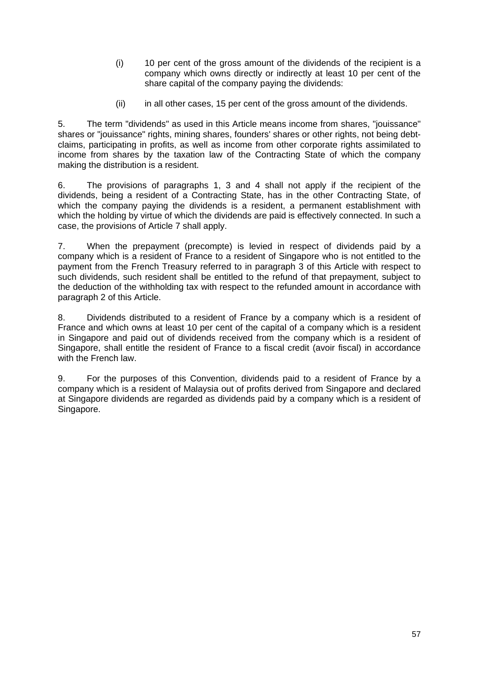- (i) 10 per cent of the gross amount of the dividends of the recipient is a company which owns directly or indirectly at least 10 per cent of the share capital of the company paying the dividends:
- (ii) in all other cases, 15 per cent of the gross amount of the dividends.

5. The term "dividends" as used in this Article means income from shares, "jouissance" shares or "jouissance" rights, mining shares, founders' shares or other rights, not being debtclaims, participating in profits, as well as income from other corporate rights assimilated to income from shares by the taxation law of the Contracting State of which the company making the distribution is a resident.

6. The provisions of paragraphs 1, 3 and 4 shall not apply if the recipient of the dividends, being a resident of a Contracting State, has in the other Contracting State, of which the company paying the dividends is a resident, a permanent establishment with which the holding by virtue of which the dividends are paid is effectively connected. In such a case, the provisions of Article 7 shall apply.

7. When the prepayment (precompte) is levied in respect of dividends paid by a company which is a resident of France to a resident of Singapore who is not entitled to the payment from the French Treasury referred to in paragraph 3 of this Article with respect to such dividends, such resident shall be entitled to the refund of that prepayment, subject to the deduction of the withholding tax with respect to the refunded amount in accordance with paragraph 2 of this Article.

8. Dividends distributed to a resident of France by a company which is a resident of France and which owns at least 10 per cent of the capital of a company which is a resident in Singapore and paid out of dividends received from the company which is a resident of Singapore, shall entitle the resident of France to a fiscal credit (avoir fiscal) in accordance with the French law.

9. For the purposes of this Convention, dividends paid to a resident of France by a company which is a resident of Malaysia out of profits derived from Singapore and declared at Singapore dividends are regarded as dividends paid by a company which is a resident of Singapore.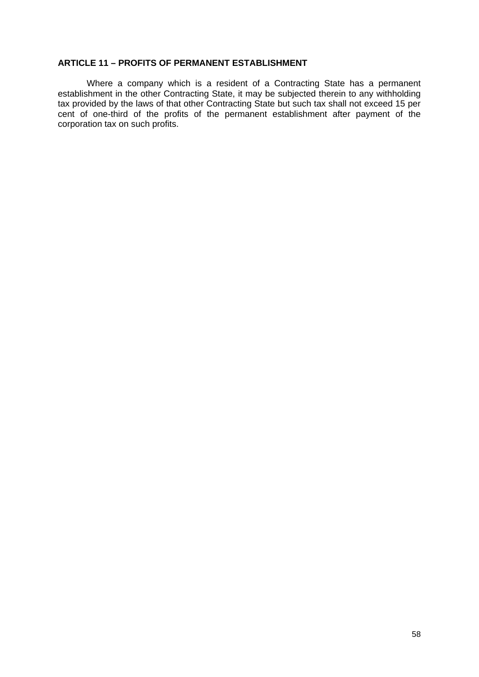#### **ARTICLE 11 – PROFITS OF PERMANENT ESTABLISHMENT**

Where a company which is a resident of a Contracting State has a permanent establishment in the other Contracting State, it may be subjected therein to any withholding tax provided by the laws of that other Contracting State but such tax shall not exceed 15 per cent of one-third of the profits of the permanent establishment after payment of the corporation tax on such profits.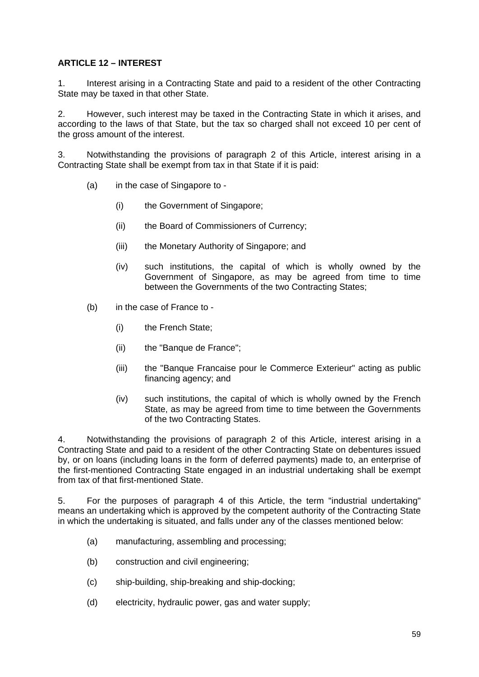#### **ARTICLE 12 – INTEREST**

1. Interest arising in a Contracting State and paid to a resident of the other Contracting State may be taxed in that other State.

2. However, such interest may be taxed in the Contracting State in which it arises, and according to the laws of that State, but the tax so charged shall not exceed 10 per cent of the gross amount of the interest.

3. Notwithstanding the provisions of paragraph 2 of this Article, interest arising in a Contracting State shall be exempt from tax in that State if it is paid:

- (a) in the case of Singapore to
	- (i) the Government of Singapore;
	- (ii) the Board of Commissioners of Currency;
	- (iii) the Monetary Authority of Singapore; and
	- (iv) such institutions, the capital of which is wholly owned by the Government of Singapore, as may be agreed from time to time between the Governments of the two Contracting States;
- (b) in the case of France to
	- (i) the French State;
	- (ii) the "Banque de France";
	- (iii) the "Banque Francaise pour le Commerce Exterieur" acting as public financing agency; and
	- (iv) such institutions, the capital of which is wholly owned by the French State, as may be agreed from time to time between the Governments of the two Contracting States.

4. Notwithstanding the provisions of paragraph 2 of this Article, interest arising in a Contracting State and paid to a resident of the other Contracting State on debentures issued by, or on loans (including loans in the form of deferred payments) made to, an enterprise of the first-mentioned Contracting State engaged in an industrial undertaking shall be exempt from tax of that first-mentioned State.

5. For the purposes of paragraph 4 of this Article, the term "industrial undertaking" means an undertaking which is approved by the competent authority of the Contracting State in which the undertaking is situated, and falls under any of the classes mentioned below:

- (a) manufacturing, assembling and processing;
- (b) construction and civil engineering;
- (c) ship-building, ship-breaking and ship-docking;
- (d) electricity, hydraulic power, gas and water supply;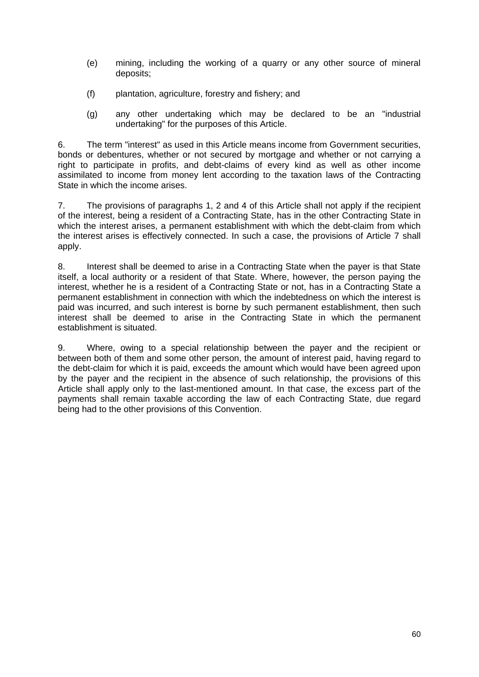- (e) mining, including the working of a quarry or any other source of mineral deposits;
- (f) plantation, agriculture, forestry and fishery; and
- (g) any other undertaking which may be declared to be an "industrial undertaking" for the purposes of this Article.

6. The term "interest" as used in this Article means income from Government securities, bonds or debentures, whether or not secured by mortgage and whether or not carrying a right to participate in profits, and debt-claims of every kind as well as other income assimilated to income from money lent according to the taxation laws of the Contracting State in which the income arises.

7. The provisions of paragraphs 1, 2 and 4 of this Article shall not apply if the recipient of the interest, being a resident of a Contracting State, has in the other Contracting State in which the interest arises, a permanent establishment with which the debt-claim from which the interest arises is effectively connected. In such a case, the provisions of Article 7 shall apply.

8. Interest shall be deemed to arise in a Contracting State when the payer is that State itself, a local authority or a resident of that State. Where, however, the person paying the interest, whether he is a resident of a Contracting State or not, has in a Contracting State a permanent establishment in connection with which the indebtedness on which the interest is paid was incurred, and such interest is borne by such permanent establishment, then such interest shall be deemed to arise in the Contracting State in which the permanent establishment is situated.

9. Where, owing to a special relationship between the payer and the recipient or between both of them and some other person, the amount of interest paid, having regard to the debt-claim for which it is paid, exceeds the amount which would have been agreed upon by the payer and the recipient in the absence of such relationship, the provisions of this Article shall apply only to the last-mentioned amount. In that case, the excess part of the payments shall remain taxable according the law of each Contracting State, due regard being had to the other provisions of this Convention.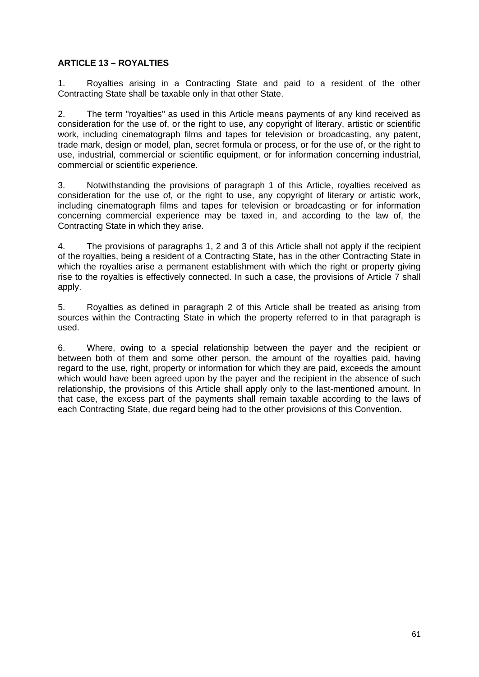#### **ARTICLE 13 – ROYALTIES**

1. Royalties arising in a Contracting State and paid to a resident of the other Contracting State shall be taxable only in that other State.

2. The term "royalties" as used in this Article means payments of any kind received as consideration for the use of, or the right to use, any copyright of literary, artistic or scientific work, including cinematograph films and tapes for television or broadcasting, any patent, trade mark, design or model, plan, secret formula or process, or for the use of, or the right to use, industrial, commercial or scientific equipment, or for information concerning industrial, commercial or scientific experience.

3. Notwithstanding the provisions of paragraph 1 of this Article, royalties received as consideration for the use of, or the right to use, any copyright of literary or artistic work, including cinematograph films and tapes for television or broadcasting or for information concerning commercial experience may be taxed in, and according to the law of, the Contracting State in which they arise.

4. The provisions of paragraphs 1, 2 and 3 of this Article shall not apply if the recipient of the royalties, being a resident of a Contracting State, has in the other Contracting State in which the royalties arise a permanent establishment with which the right or property giving rise to the royalties is effectively connected. In such a case, the provisions of Article 7 shall apply.

5. Royalties as defined in paragraph 2 of this Article shall be treated as arising from sources within the Contracting State in which the property referred to in that paragraph is used.

6. Where, owing to a special relationship between the payer and the recipient or between both of them and some other person, the amount of the royalties paid, having regard to the use, right, property or information for which they are paid, exceeds the amount which would have been agreed upon by the payer and the recipient in the absence of such relationship, the provisions of this Article shall apply only to the last-mentioned amount. In that case, the excess part of the payments shall remain taxable according to the laws of each Contracting State, due regard being had to the other provisions of this Convention.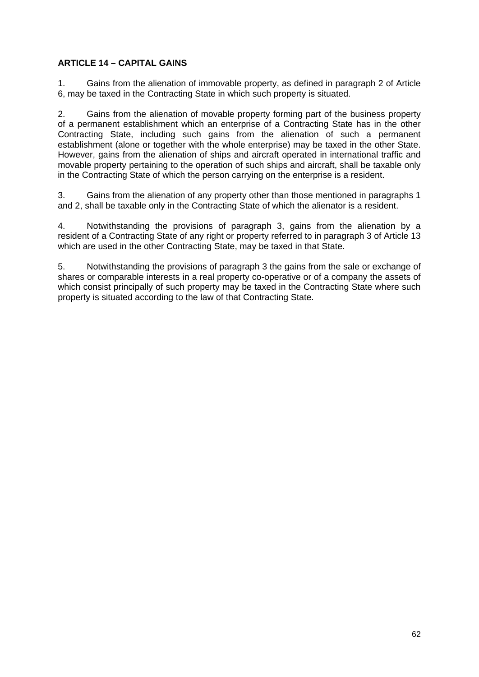# **ARTICLE 14 – CAPITAL GAINS**

1. Gains from the alienation of immovable property, as defined in paragraph 2 of Article 6, may be taxed in the Contracting State in which such property is situated.

2. Gains from the alienation of movable property forming part of the business property of a permanent establishment which an enterprise of a Contracting State has in the other Contracting State, including such gains from the alienation of such a permanent establishment (alone or together with the whole enterprise) may be taxed in the other State. However, gains from the alienation of ships and aircraft operated in international traffic and movable property pertaining to the operation of such ships and aircraft, shall be taxable only in the Contracting State of which the person carrying on the enterprise is a resident.

3. Gains from the alienation of any property other than those mentioned in paragraphs 1 and 2, shall be taxable only in the Contracting State of which the alienator is a resident.

4. Notwithstanding the provisions of paragraph 3, gains from the alienation by a resident of a Contracting State of any right or property referred to in paragraph 3 of Article 13 which are used in the other Contracting State, may be taxed in that State.

5. Notwithstanding the provisions of paragraph 3 the gains from the sale or exchange of shares or comparable interests in a real property co-operative or of a company the assets of which consist principally of such property may be taxed in the Contracting State where such property is situated according to the law of that Contracting State.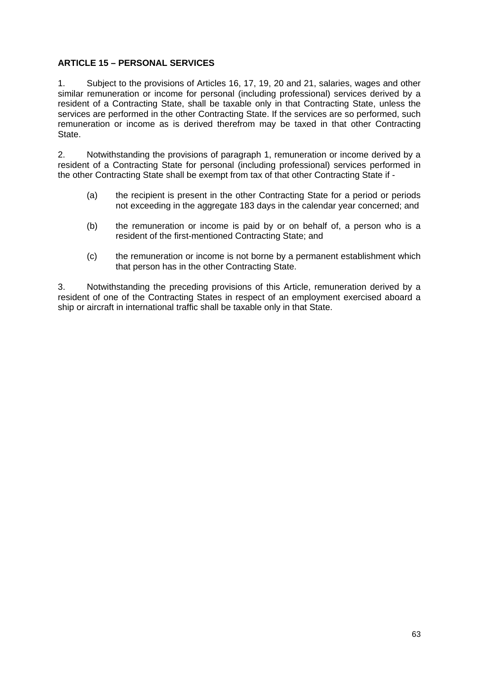#### **ARTICLE 15 – PERSONAL SERVICES**

1. Subject to the provisions of Articles 16, 17, 19, 20 and 21, salaries, wages and other similar remuneration or income for personal (including professional) services derived by a resident of a Contracting State, shall be taxable only in that Contracting State, unless the services are performed in the other Contracting State. If the services are so performed, such remuneration or income as is derived therefrom may be taxed in that other Contracting State.

2. Notwithstanding the provisions of paragraph 1, remuneration or income derived by a resident of a Contracting State for personal (including professional) services performed in the other Contracting State shall be exempt from tax of that other Contracting State if -

- (a) the recipient is present in the other Contracting State for a period or periods not exceeding in the aggregate 183 days in the calendar year concerned; and
- (b) the remuneration or income is paid by or on behalf of, a person who is a resident of the first-mentioned Contracting State; and
- (c) the remuneration or income is not borne by a permanent establishment which that person has in the other Contracting State.

3. Notwithstanding the preceding provisions of this Article, remuneration derived by a resident of one of the Contracting States in respect of an employment exercised aboard a ship or aircraft in international traffic shall be taxable only in that State.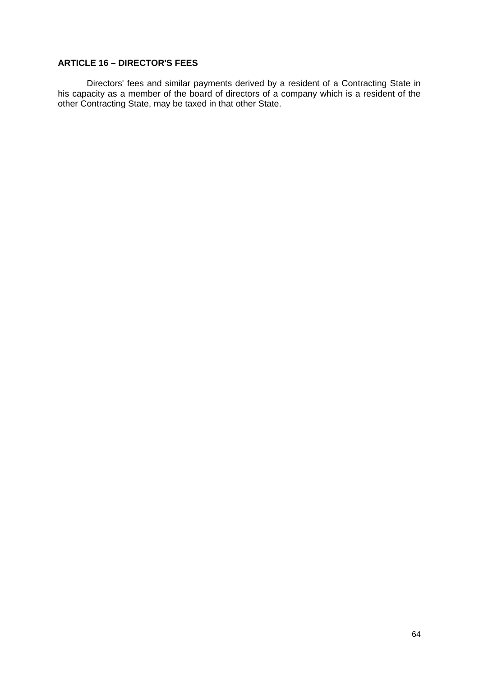# **ARTICLE 16 – DIRECTOR'S FEES**

Directors' fees and similar payments derived by a resident of a Contracting State in his capacity as a member of the board of directors of a company which is a resident of the other Contracting State, may be taxed in that other State.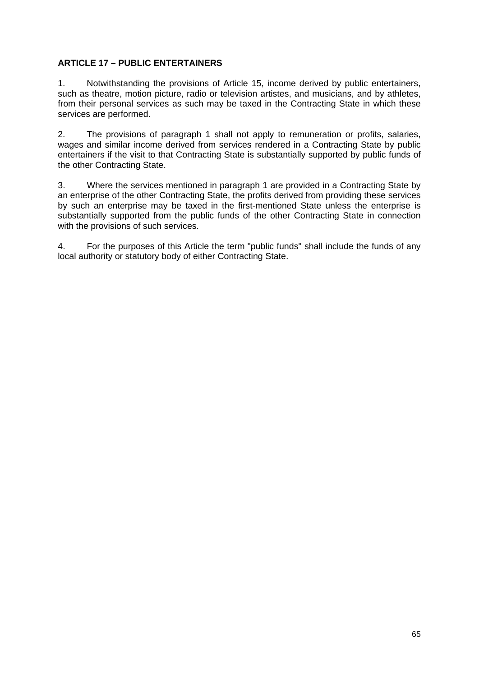# **ARTICLE 17 – PUBLIC ENTERTAINERS**

1. Notwithstanding the provisions of Article 15, income derived by public entertainers, such as theatre, motion picture, radio or television artistes, and musicians, and by athletes, from their personal services as such may be taxed in the Contracting State in which these services are performed.

2. The provisions of paragraph 1 shall not apply to remuneration or profits, salaries, wages and similar income derived from services rendered in a Contracting State by public entertainers if the visit to that Contracting State is substantially supported by public funds of the other Contracting State.

3. Where the services mentioned in paragraph 1 are provided in a Contracting State by an enterprise of the other Contracting State, the profits derived from providing these services by such an enterprise may be taxed in the first-mentioned State unless the enterprise is substantially supported from the public funds of the other Contracting State in connection with the provisions of such services.

4. For the purposes of this Article the term "public funds" shall include the funds of any local authority or statutory body of either Contracting State.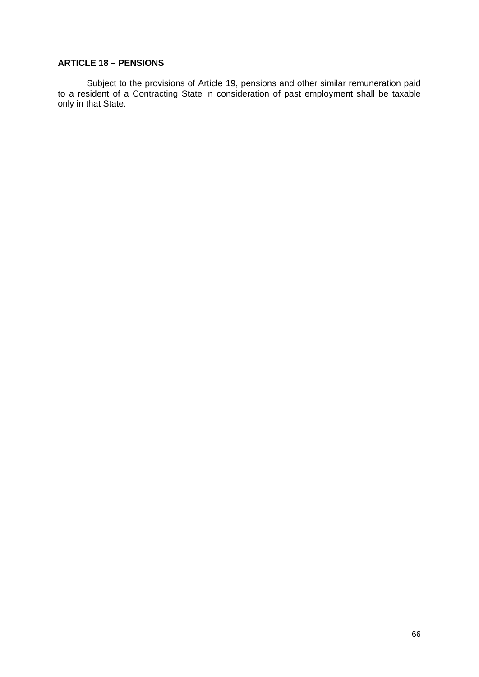#### **ARTICLE 18 – PENSIONS**

Subject to the provisions of Article 19, pensions and other similar remuneration paid to a resident of a Contracting State in consideration of past employment shall be taxable only in that State.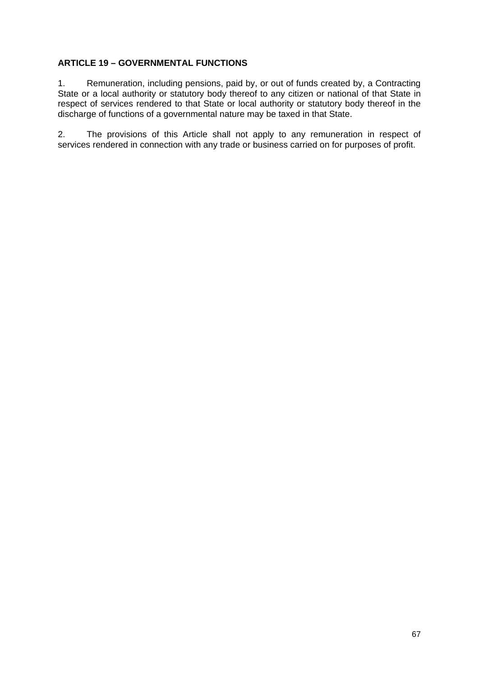#### **ARTICLE 19 – GOVERNMENTAL FUNCTIONS**

1. Remuneration, including pensions, paid by, or out of funds created by, a Contracting State or a local authority or statutory body thereof to any citizen or national of that State in respect of services rendered to that State or local authority or statutory body thereof in the discharge of functions of a governmental nature may be taxed in that State.

2. The provisions of this Article shall not apply to any remuneration in respect of services rendered in connection with any trade or business carried on for purposes of profit.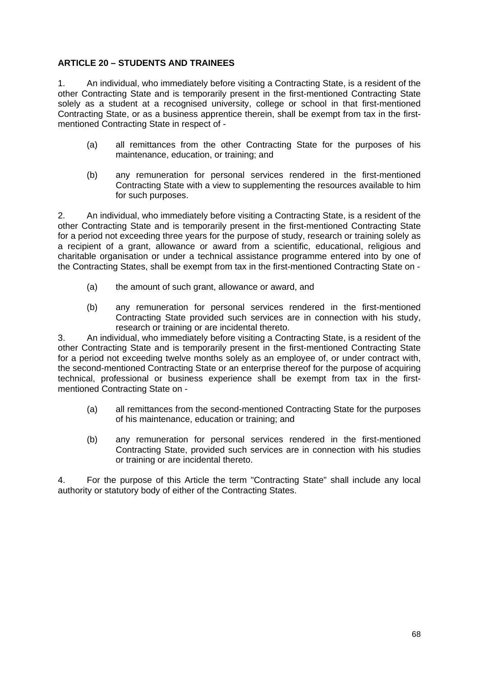# **ARTICLE 20 – STUDENTS AND TRAINEES**

1. An individual, who immediately before visiting a Contracting State, is a resident of the other Contracting State and is temporarily present in the first-mentioned Contracting State solely as a student at a recognised university, college or school in that first-mentioned Contracting State, or as a business apprentice therein, shall be exempt from tax in the firstmentioned Contracting State in respect of -

- (a) all remittances from the other Contracting State for the purposes of his maintenance, education, or training; and
- (b) any remuneration for personal services rendered in the first-mentioned Contracting State with a view to supplementing the resources available to him for such purposes.

2. An individual, who immediately before visiting a Contracting State, is a resident of the other Contracting State and is temporarily present in the first-mentioned Contracting State for a period not exceeding three years for the purpose of study, research or training solely as a recipient of a grant, allowance or award from a scientific, educational, religious and charitable organisation or under a technical assistance programme entered into by one of the Contracting States, shall be exempt from tax in the first-mentioned Contracting State on -

- (a) the amount of such grant, allowance or award, and
- (b) any remuneration for personal services rendered in the first-mentioned Contracting State provided such services are in connection with his study, research or training or are incidental thereto.

3. An individual, who immediately before visiting a Contracting State, is a resident of the other Contracting State and is temporarily present in the first-mentioned Contracting State for a period not exceeding twelve months solely as an employee of, or under contract with, the second-mentioned Contracting State or an enterprise thereof for the purpose of acquiring technical, professional or business experience shall be exempt from tax in the firstmentioned Contracting State on -

- (a) all remittances from the second-mentioned Contracting State for the purposes of his maintenance, education or training; and
- (b) any remuneration for personal services rendered in the first-mentioned Contracting State, provided such services are in connection with his studies or training or are incidental thereto.

4. For the purpose of this Article the term "Contracting State" shall include any local authority or statutory body of either of the Contracting States.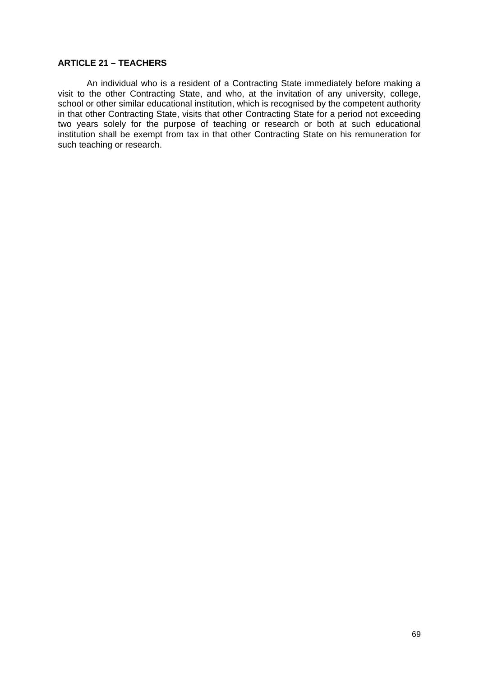#### **ARTICLE 21 – TEACHERS**

An individual who is a resident of a Contracting State immediately before making a visit to the other Contracting State, and who, at the invitation of any university, college, school or other similar educational institution, which is recognised by the competent authority in that other Contracting State, visits that other Contracting State for a period not exceeding two years solely for the purpose of teaching or research or both at such educational institution shall be exempt from tax in that other Contracting State on his remuneration for such teaching or research.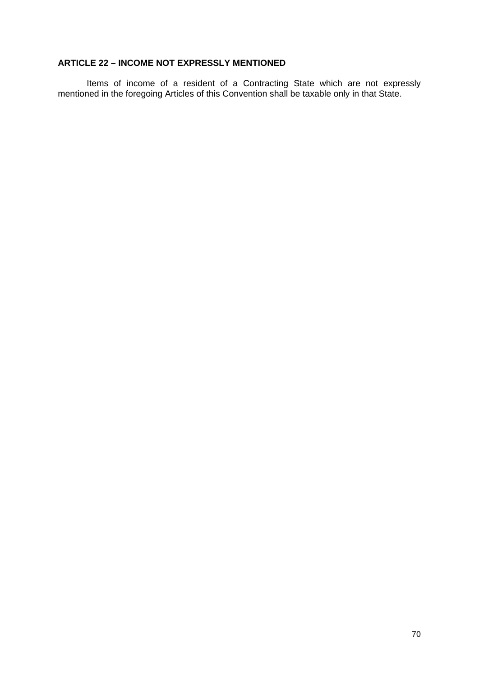#### **ARTICLE 22 – INCOME NOT EXPRESSLY MENTIONED**

Items of income of a resident of a Contracting State which are not expressly mentioned in the foregoing Articles of this Convention shall be taxable only in that State.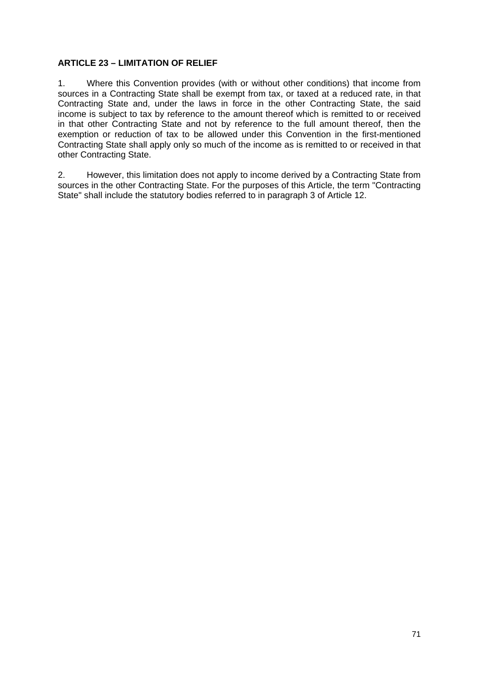#### **ARTICLE 23 – LIMITATION OF RELIEF**

1. Where this Convention provides (with or without other conditions) that income from sources in a Contracting State shall be exempt from tax, or taxed at a reduced rate, in that Contracting State and, under the laws in force in the other Contracting State, the said income is subject to tax by reference to the amount thereof which is remitted to or received in that other Contracting State and not by reference to the full amount thereof, then the exemption or reduction of tax to be allowed under this Convention in the first-mentioned Contracting State shall apply only so much of the income as is remitted to or received in that other Contracting State.

2. However, this limitation does not apply to income derived by a Contracting State from sources in the other Contracting State. For the purposes of this Article, the term "Contracting State" shall include the statutory bodies referred to in paragraph 3 of Article 12.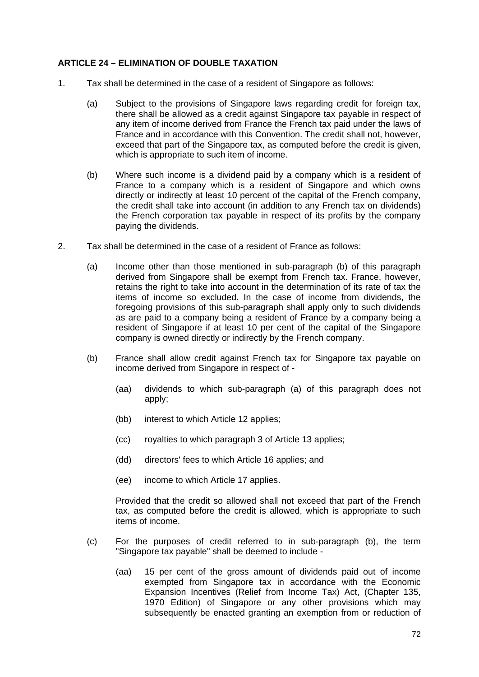#### **ARTICLE 24 – ELIMINATION OF DOUBLE TAXATION**

- 1. Tax shall be determined in the case of a resident of Singapore as follows:
	- (a) Subject to the provisions of Singapore laws regarding credit for foreign tax, there shall be allowed as a credit against Singapore tax payable in respect of any item of income derived from France the French tax paid under the laws of France and in accordance with this Convention. The credit shall not, however, exceed that part of the Singapore tax, as computed before the credit is given, which is appropriate to such item of income.
	- (b) Where such income is a dividend paid by a company which is a resident of France to a company which is a resident of Singapore and which owns directly or indirectly at least 10 percent of the capital of the French company, the credit shall take into account (in addition to any French tax on dividends) the French corporation tax payable in respect of its profits by the company paying the dividends.
- 2. Tax shall be determined in the case of a resident of France as follows:
	- (a) Income other than those mentioned in sub-paragraph (b) of this paragraph derived from Singapore shall be exempt from French tax. France, however, retains the right to take into account in the determination of its rate of tax the items of income so excluded. In the case of income from dividends, the foregoing provisions of this sub-paragraph shall apply only to such dividends as are paid to a company being a resident of France by a company being a resident of Singapore if at least 10 per cent of the capital of the Singapore company is owned directly or indirectly by the French company.
	- (b) France shall allow credit against French tax for Singapore tax payable on income derived from Singapore in respect of -
		- (aa) dividends to which sub-paragraph (a) of this paragraph does not apply;
		- (bb) interest to which Article 12 applies;
		- (cc) royalties to which paragraph 3 of Article 13 applies;
		- (dd) directors' fees to which Article 16 applies; and
		- (ee) income to which Article 17 applies.

Provided that the credit so allowed shall not exceed that part of the French tax, as computed before the credit is allowed, which is appropriate to such items of income.

- (c) For the purposes of credit referred to in sub-paragraph (b), the term "Singapore tax payable" shall be deemed to include -
	- (aa) 15 per cent of the gross amount of dividends paid out of income exempted from Singapore tax in accordance with the Economic Expansion Incentives (Relief from Income Tax) Act, (Chapter 135, 1970 Edition) of Singapore or any other provisions which may subsequently be enacted granting an exemption from or reduction of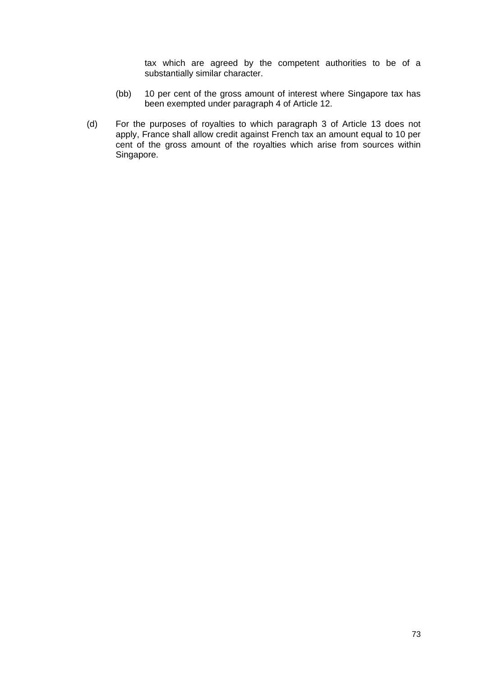tax which are agreed by the competent authorities to be of a substantially similar character.

- (bb) 10 per cent of the gross amount of interest where Singapore tax has been exempted under paragraph 4 of Article 12.
- (d) For the purposes of royalties to which paragraph 3 of Article 13 does not apply, France shall allow credit against French tax an amount equal to 10 per cent of the gross amount of the royalties which arise from sources within Singapore.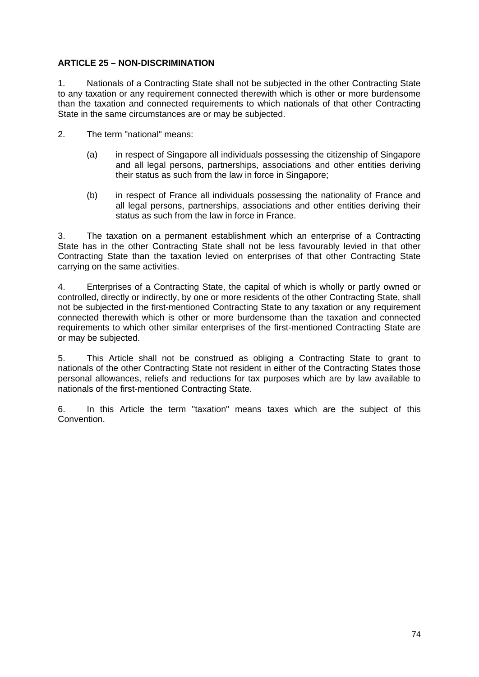# **ARTICLE 25 – NON-DISCRIMINATION**

1. Nationals of a Contracting State shall not be subjected in the other Contracting State to any taxation or any requirement connected therewith which is other or more burdensome than the taxation and connected requirements to which nationals of that other Contracting State in the same circumstances are or may be subjected.

2. The term "national" means:

- (a) in respect of Singapore all individuals possessing the citizenship of Singapore and all legal persons, partnerships, associations and other entities deriving their status as such from the law in force in Singapore;
- (b) in respect of France all individuals possessing the nationality of France and all legal persons, partnerships, associations and other entities deriving their status as such from the law in force in France.

3. The taxation on a permanent establishment which an enterprise of a Contracting State has in the other Contracting State shall not be less favourably levied in that other Contracting State than the taxation levied on enterprises of that other Contracting State carrying on the same activities.

4. Enterprises of a Contracting State, the capital of which is wholly or partly owned or controlled, directly or indirectly, by one or more residents of the other Contracting State, shall not be subjected in the first-mentioned Contracting State to any taxation or any requirement connected therewith which is other or more burdensome than the taxation and connected requirements to which other similar enterprises of the first-mentioned Contracting State are or may be subjected.

5. This Article shall not be construed as obliging a Contracting State to grant to nationals of the other Contracting State not resident in either of the Contracting States those personal allowances, reliefs and reductions for tax purposes which are by law available to nationals of the first-mentioned Contracting State.

6. In this Article the term "taxation" means taxes which are the subject of this Convention.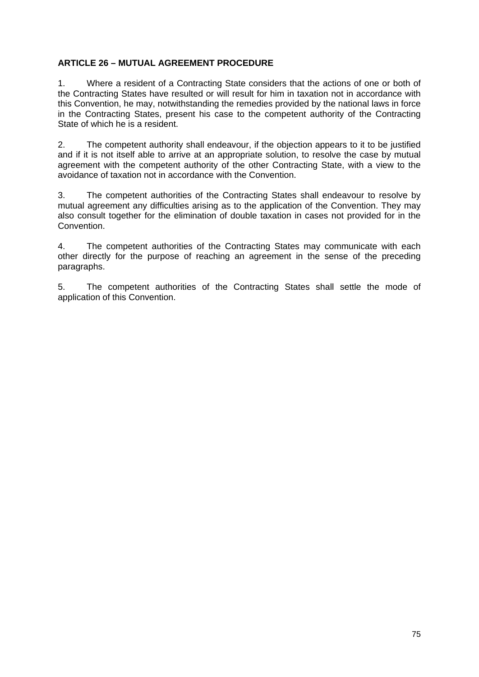### **ARTICLE 26 – MUTUAL AGREEMENT PROCEDURE**

1. Where a resident of a Contracting State considers that the actions of one or both of the Contracting States have resulted or will result for him in taxation not in accordance with this Convention, he may, notwithstanding the remedies provided by the national laws in force in the Contracting States, present his case to the competent authority of the Contracting State of which he is a resident.

2. The competent authority shall endeavour, if the objection appears to it to be justified and if it is not itself able to arrive at an appropriate solution, to resolve the case by mutual agreement with the competent authority of the other Contracting State, with a view to the avoidance of taxation not in accordance with the Convention.

3. The competent authorities of the Contracting States shall endeavour to resolve by mutual agreement any difficulties arising as to the application of the Convention. They may also consult together for the elimination of double taxation in cases not provided for in the Convention.

4. The competent authorities of the Contracting States may communicate with each other directly for the purpose of reaching an agreement in the sense of the preceding paragraphs.

5. The competent authorities of the Contracting States shall settle the mode of application of this Convention.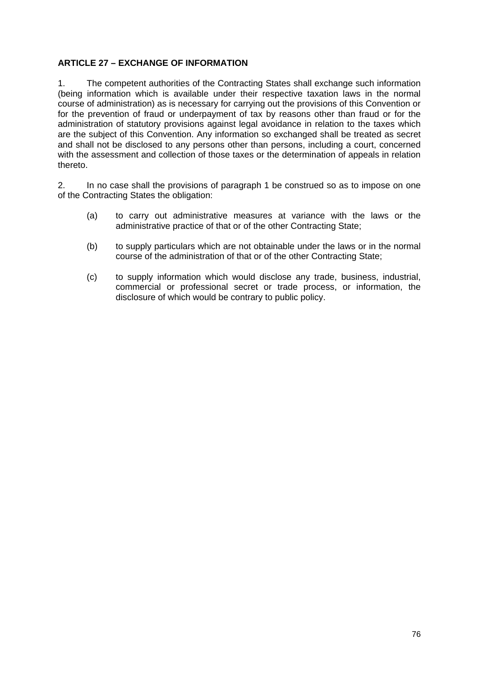# **ARTICLE 27 – EXCHANGE OF INFORMATION**

1. The competent authorities of the Contracting States shall exchange such information (being information which is available under their respective taxation laws in the normal course of administration) as is necessary for carrying out the provisions of this Convention or for the prevention of fraud or underpayment of tax by reasons other than fraud or for the administration of statutory provisions against legal avoidance in relation to the taxes which are the subject of this Convention. Any information so exchanged shall be treated as secret and shall not be disclosed to any persons other than persons, including a court, concerned with the assessment and collection of those taxes or the determination of appeals in relation thereto.

2. In no case shall the provisions of paragraph 1 be construed so as to impose on one of the Contracting States the obligation:

- (a) to carry out administrative measures at variance with the laws or the administrative practice of that or of the other Contracting State;
- (b) to supply particulars which are not obtainable under the laws or in the normal course of the administration of that or of the other Contracting State;
- (c) to supply information which would disclose any trade, business, industrial, commercial or professional secret or trade process, or information, the disclosure of which would be contrary to public policy.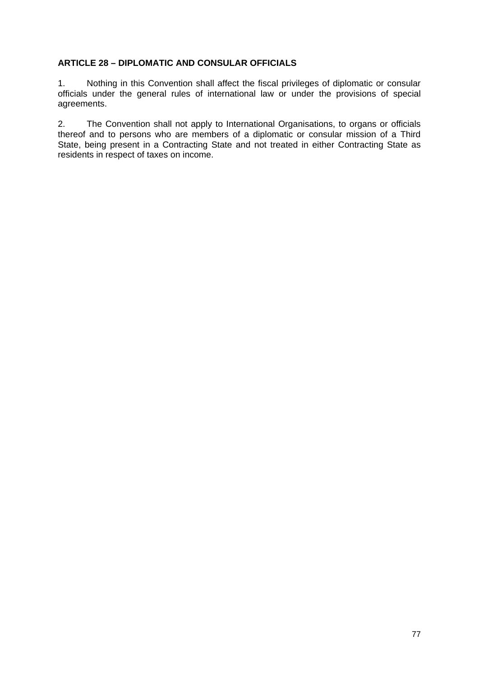# **ARTICLE 28 – DIPLOMATIC AND CONSULAR OFFICIALS**

1. Nothing in this Convention shall affect the fiscal privileges of diplomatic or consular officials under the general rules of international law or under the provisions of special agreements.

2. The Convention shall not apply to International Organisations, to organs or officials thereof and to persons who are members of a diplomatic or consular mission of a Third State, being present in a Contracting State and not treated in either Contracting State as residents in respect of taxes on income.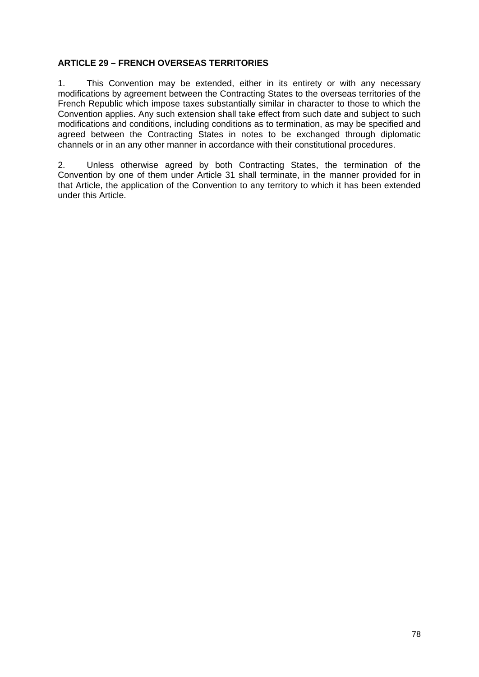### **ARTICLE 29 – FRENCH OVERSEAS TERRITORIES**

1. This Convention may be extended, either in its entirety or with any necessary modifications by agreement between the Contracting States to the overseas territories of the French Republic which impose taxes substantially similar in character to those to which the Convention applies. Any such extension shall take effect from such date and subject to such modifications and conditions, including conditions as to termination, as may be specified and agreed between the Contracting States in notes to be exchanged through diplomatic channels or in an any other manner in accordance with their constitutional procedures.

2. Unless otherwise agreed by both Contracting States, the termination of the Convention by one of them under Article 31 shall terminate, in the manner provided for in that Article, the application of the Convention to any territory to which it has been extended under this Article.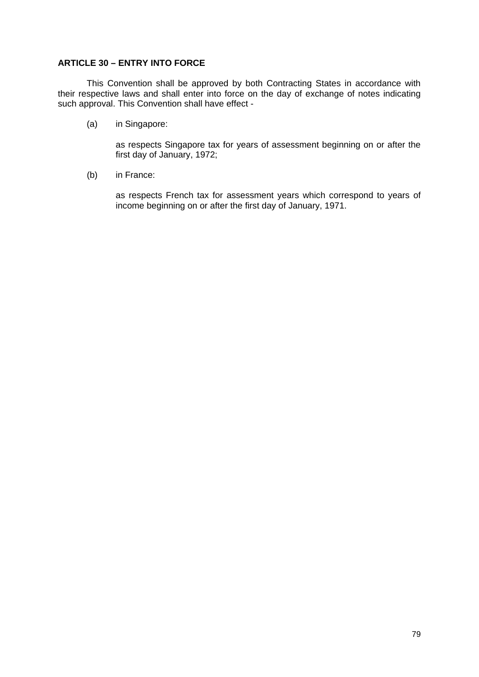### **ARTICLE 30 – ENTRY INTO FORCE**

This Convention shall be approved by both Contracting States in accordance with their respective laws and shall enter into force on the day of exchange of notes indicating such approval. This Convention shall have effect -

(a) in Singapore:

as respects Singapore tax for years of assessment beginning on or after the first day of January, 1972;

(b) in France:

as respects French tax for assessment years which correspond to years of income beginning on or after the first day of January, 1971.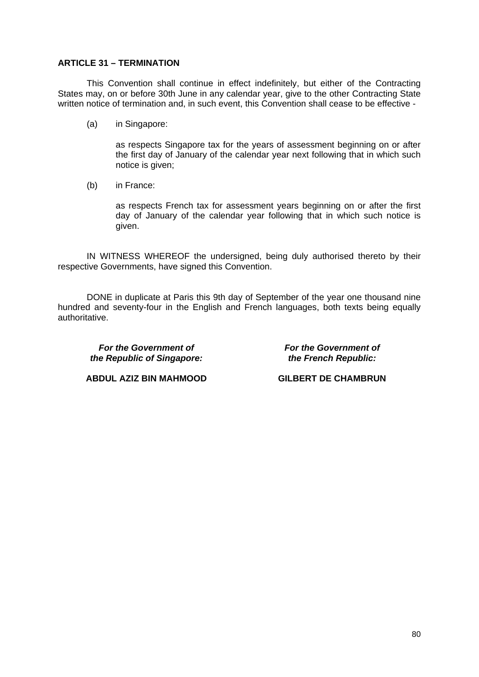### **ARTICLE 31 – TERMINATION**

This Convention shall continue in effect indefinitely, but either of the Contracting States may, on or before 30th June in any calendar year, give to the other Contracting State written notice of termination and, in such event, this Convention shall cease to be effective -

(a) in Singapore:

as respects Singapore tax for the years of assessment beginning on or after the first day of January of the calendar year next following that in which such notice is given;

(b) in France:

as respects French tax for assessment years beginning on or after the first day of January of the calendar year following that in which such notice is given.

IN WITNESS WHEREOF the undersigned, being duly authorised thereto by their respective Governments, have signed this Convention.

DONE in duplicate at Paris this 9th day of September of the year one thousand nine hundred and seventy-four in the English and French languages, both texts being equally authoritative.

*For the Government of the Republic of Singapore:* *For the Government of the French Republic:*

**ABDUL AZIZ BIN MAHMOOD GILBERT DE CHAMBRUN**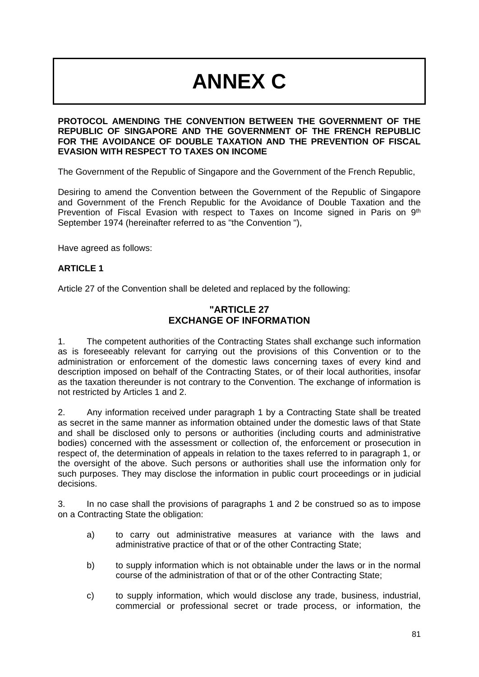# **ANNEX C**

### **PROTOCOL AMENDING THE CONVENTION BETWEEN THE GOVERNMENT OF THE REPUBLIC OF SINGAPORE AND THE GOVERNMENT OF THE FRENCH REPUBLIC FOR THE AVOIDANCE OF DOUBLE TAXATION AND THE PREVENTION OF FISCAL EVASION WITH RESPECT TO TAXES ON INCOME**

The Government of the Republic of Singapore and the Government of the French Republic,

Desiring to amend the Convention between the Government of the Republic of Singapore and Government of the French Republic for the Avoidance of Double Taxation and the Prevention of Fiscal Evasion with respect to Taxes on Income signed in Paris on 9<sup>th</sup> September 1974 (hereinafter referred to as "the Convention "),

Have agreed as follows:

# **ARTICLE 1**

Article 27 of the Convention shall be deleted and replaced by the following:

# **"ARTICLE 27 EXCHANGE OF INFORMATION**

1. The competent authorities of the Contracting States shall exchange such information as is foreseeably relevant for carrying out the provisions of this Convention or to the administration or enforcement of the domestic laws concerning taxes of every kind and description imposed on behalf of the Contracting States, or of their local authorities, insofar as the taxation thereunder is not contrary to the Convention. The exchange of information is not restricted by Articles 1 and 2.

2. Any information received under paragraph 1 by a Contracting State shall be treated as secret in the same manner as information obtained under the domestic laws of that State and shall be disclosed only to persons or authorities (including courts and administrative bodies) concerned with the assessment or collection of, the enforcement or prosecution in respect of, the determination of appeals in relation to the taxes referred to in paragraph 1, or the oversight of the above. Such persons or authorities shall use the information only for such purposes. They may disclose the information in public court proceedings or in judicial decisions.

3. In no case shall the provisions of paragraphs 1 and 2 be construed so as to impose on a Contracting State the obligation:

- a) to carry out administrative measures at variance with the laws and administrative practice of that or of the other Contracting State;
- b) to supply information which is not obtainable under the laws or in the normal course of the administration of that or of the other Contracting State;
- c) to supply information, which would disclose any trade, business, industrial, commercial or professional secret or trade process, or information, the